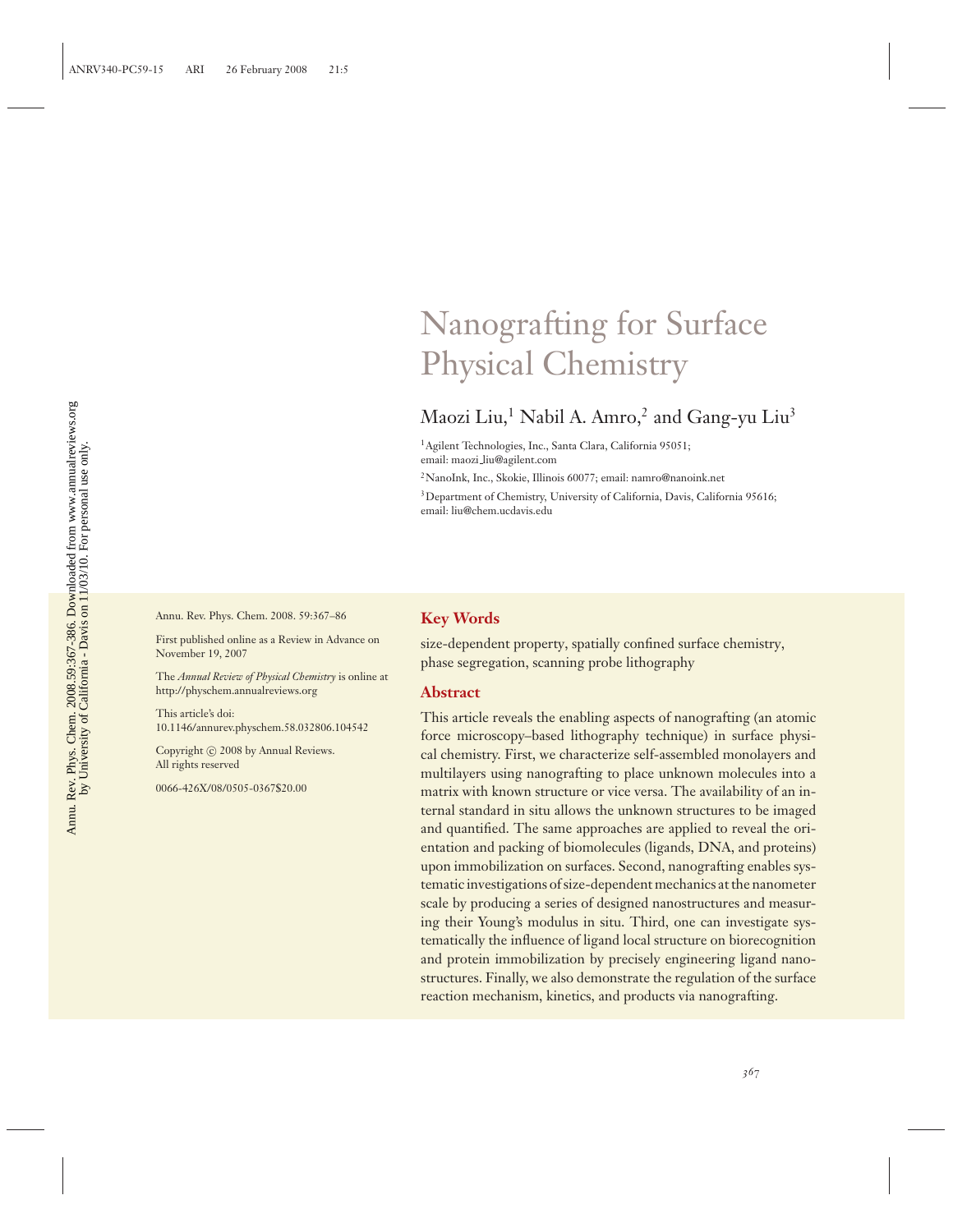## Nanografting for Surface Physical Chemistry

## Maozi Liu,<sup>1</sup> Nabil A. Amro,<sup>2</sup> and Gang-yu Liu<sup>3</sup>

1Agilent Technologies, Inc., Santa Clara, California 95051; email: maozi liu@agilent.com

2NanoInk, Inc., Skokie, Illinois 60077; email: namro@nanoink.net

<sup>3</sup>Department of Chemistry, University of California, Davis, California 95616; email: liu@chem.ucdavis.edu

Annu. Rev. Phys. Chem. 2008. 59:367–86

First published online as a Review in Advance on November 19, 2007

The *Annual Review of Physical Chemistry* is online at http://physchem.annualreviews.org

This article's doi: 10.1146/annurev.physchem.58.032806.104542

Copyright © 2008 by Annual Reviews. All rights reserved

0066-426X/08/0505-0367\$20.00

#### **Key Words**

size-dependent property, spatially confined surface chemistry, phase segregation, scanning probe lithography

#### **Abstract**

This article reveals the enabling aspects of nanografting (an atomic force microscopy–based lithography technique) in surface physical chemistry. First, we characterize self-assembled monolayers and multilayers using nanografting to place unknown molecules into a matrix with known structure or vice versa. The availability of an internal standard in situ allows the unknown structures to be imaged and quantified. The same approaches are applied to reveal the orientation and packing of biomolecules (ligands, DNA, and proteins) upon immobilization on surfaces. Second, nanografting enables systematic investigations of size-dependent mechanics at the nanometer scale by producing a series of designed nanostructures and measuring their Young's modulus in situ. Third, one can investigate systematically the influence of ligand local structure on biorecognition and protein immobilization by precisely engineering ligand nanostructures. Finally, we also demonstrate the regulation of the surface reaction mechanism, kinetics, and products via nanografting.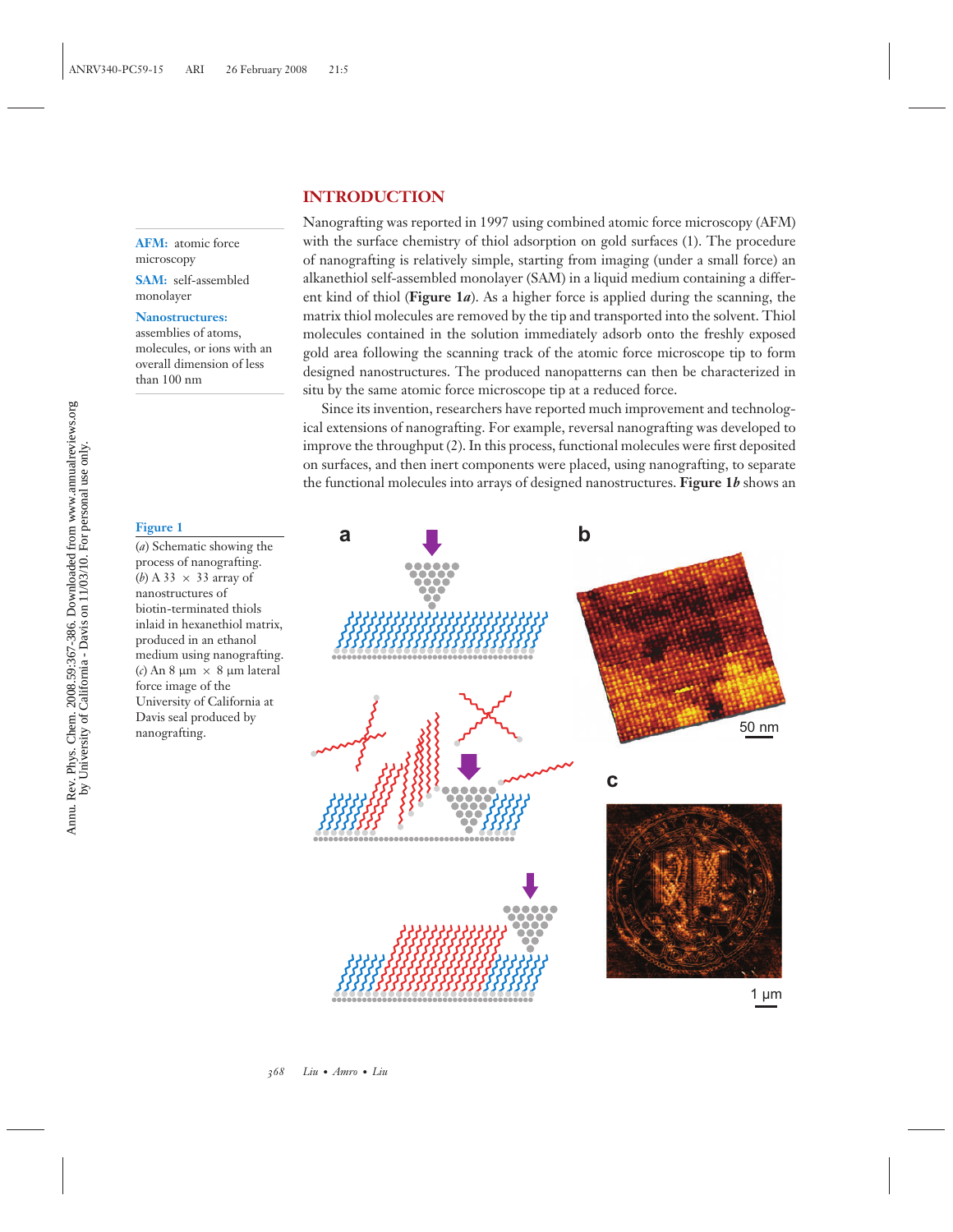## **INTRODUCTION**

**AFM:** atomic force microscopy

**SAM:** self-assembled monolayer

#### **Nanostructures:**

assemblies of atoms, molecules, or ions with an overall dimension of less than 100 nm

## **Figure 1**

(*a*) Schematic showing the process of nanografting. (*b*) A 33  $\times$  33 array of nanostructures of biotin-terminated thiols inlaid in hexanethiol matrix, produced in an ethanol medium using nanografting. (*c*) An 8  $\mu$ m  $\times$  8  $\mu$ m lateral force image of the University of California at Davis seal produced by nanografting.

Nanografting was reported in 1997 using combined atomic force microscopy (AFM) with the surface chemistry of thiol adsorption on gold surfaces (1). The procedure of nanografting is relatively simple, starting from imaging (under a small force) an alkanethiol self-assembled monolayer (SAM) in a liquid medium containing a different kind of thiol (**Figure 1***a*). As a higher force is applied during the scanning, the matrix thiol molecules are removed by the tip and transported into the solvent. Thiol molecules contained in the solution immediately adsorb onto the freshly exposed gold area following the scanning track of the atomic force microscope tip to form designed nanostructures. The produced nanopatterns can then be characterized in situ by the same atomic force microscope tip at a reduced force.

Since its invention, researchers have reported much improvement and technological extensions of nanografting. For example, reversal nanografting was developed to improve the throughput (2). In this process, functional molecules were first deposited on surfaces, and then inert components were placed, using nanografting, to separate the functional molecules into arrays of designed nanostructures. **Figure 1***b* shows an

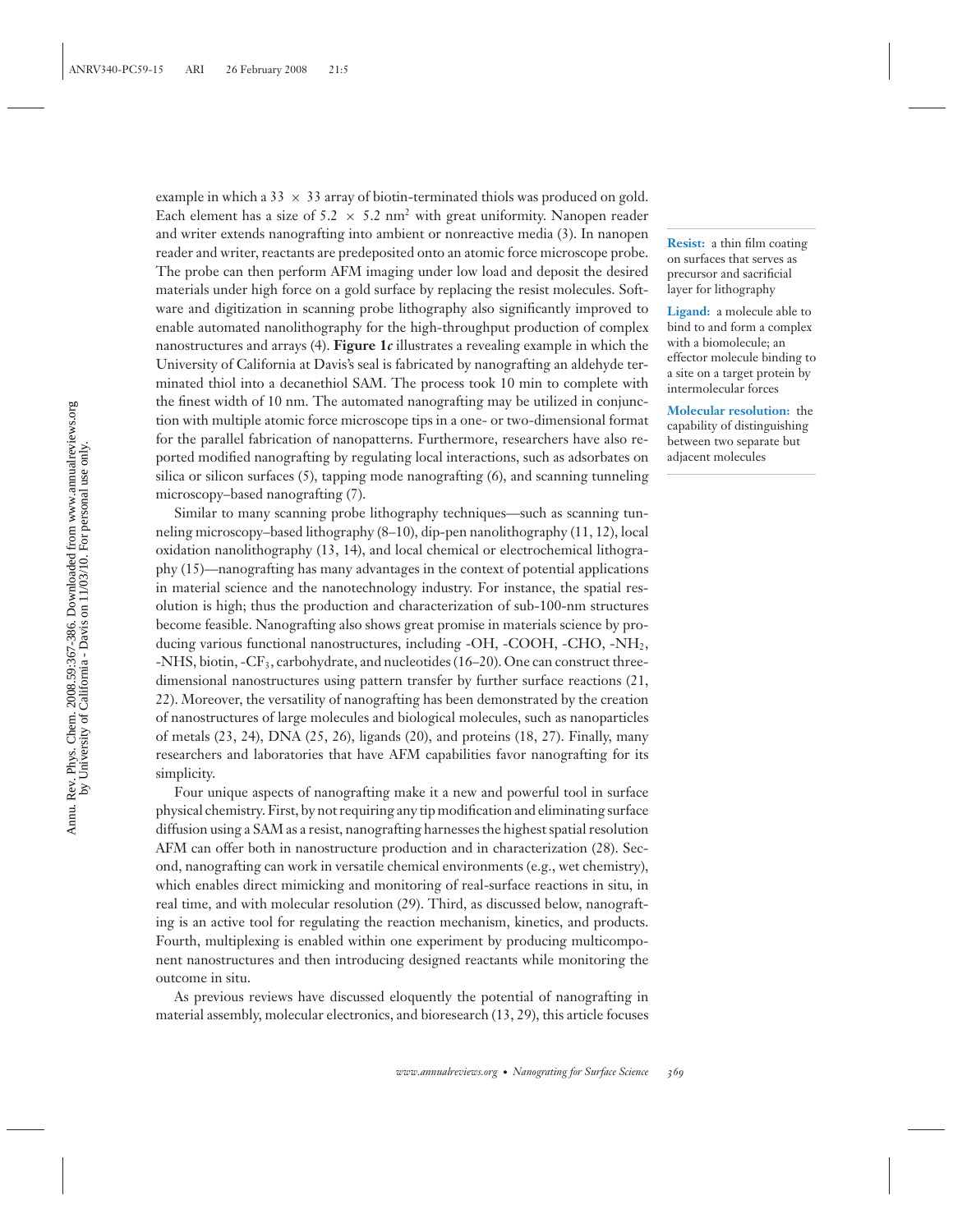example in which a 33  $\times$  33 array of biotin-terminated thiols was produced on gold. Each element has a size of 5.2  $\times$  5.2 nm<sup>2</sup> with great uniformity. Nanopen reader and writer extends nanografting into ambient or nonreactive media (3). In nanopen reader and writer, reactants are predeposited onto an atomic force microscope probe. The probe can then perform AFM imaging under low load and deposit the desired materials under high force on a gold surface by replacing the resist molecules. Software and digitization in scanning probe lithography also significantly improved to enable automated nanolithography for the high-throughput production of complex nanostructures and arrays (4). **Figure 1***c* illustrates a revealing example in which the University of California at Davis's seal is fabricated by nanografting an aldehyde terminated thiol into a decanethiol SAM. The process took 10 min to complete with the finest width of 10 nm. The automated nanografting may be utilized in conjunction with multiple atomic force microscope tips in a one- or two-dimensional format for the parallel fabrication of nanopatterns. Furthermore, researchers have also reported modified nanografting by regulating local interactions, such as adsorbates on silica or silicon surfaces (5), tapping mode nanografting (6), and scanning tunneling microscopy–based nanografting (7).

Similar to many scanning probe lithography techniques—such as scanning tunneling microscopy–based lithography (8–10), dip-pen nanolithography (11, 12), local oxidation nanolithography (13, 14), and local chemical or electrochemical lithography (15)—nanografting has many advantages in the context of potential applications in material science and the nanotechnology industry. For instance, the spatial resolution is high; thus the production and characterization of sub-100-nm structures become feasible. Nanografting also shows great promise in materials science by producing various functional nanostructures, including -OH, -COOH, -CHO, -NH<sub>2</sub>, -NHS, biotin, -CF3, carbohydrate, and nucleotides (16–20). One can construct threedimensional nanostructures using pattern transfer by further surface reactions (21, 22). Moreover, the versatility of nanografting has been demonstrated by the creation of nanostructures of large molecules and biological molecules, such as nanoparticles of metals (23, 24), DNA (25, 26), ligands (20), and proteins (18, 27). Finally, many researchers and laboratories that have AFM capabilities favor nanografting for its simplicity.

Four unique aspects of nanografting make it a new and powerful tool in surface physical chemistry. First, by not requiring any tip modification and eliminating surface diffusion using a SAM as a resist, nanografting harnesses the highest spatial resolution AFM can offer both in nanostructure production and in characterization (28). Second, nanografting can work in versatile chemical environments (e.g., wet chemistry), which enables direct mimicking and monitoring of real-surface reactions in situ, in real time, and with molecular resolution (29). Third, as discussed below, nanografting is an active tool for regulating the reaction mechanism, kinetics, and products. Fourth, multiplexing is enabled within one experiment by producing multicomponent nanostructures and then introducing designed reactants while monitoring the outcome in situ.

As previous reviews have discussed eloquently the potential of nanografting in material assembly, molecular electronics, and bioresearch (13, 29), this article focuses

**Resist:** a thin film coating on surfaces that serves as precursor and sacrificial layer for lithography

**Ligand:** a molecule able to bind to and form a complex with a biomolecule; an effector molecule binding to a site on a target protein by intermolecular forces

**Molecular resolution:** the capability of distinguishing between two separate but adjacent molecules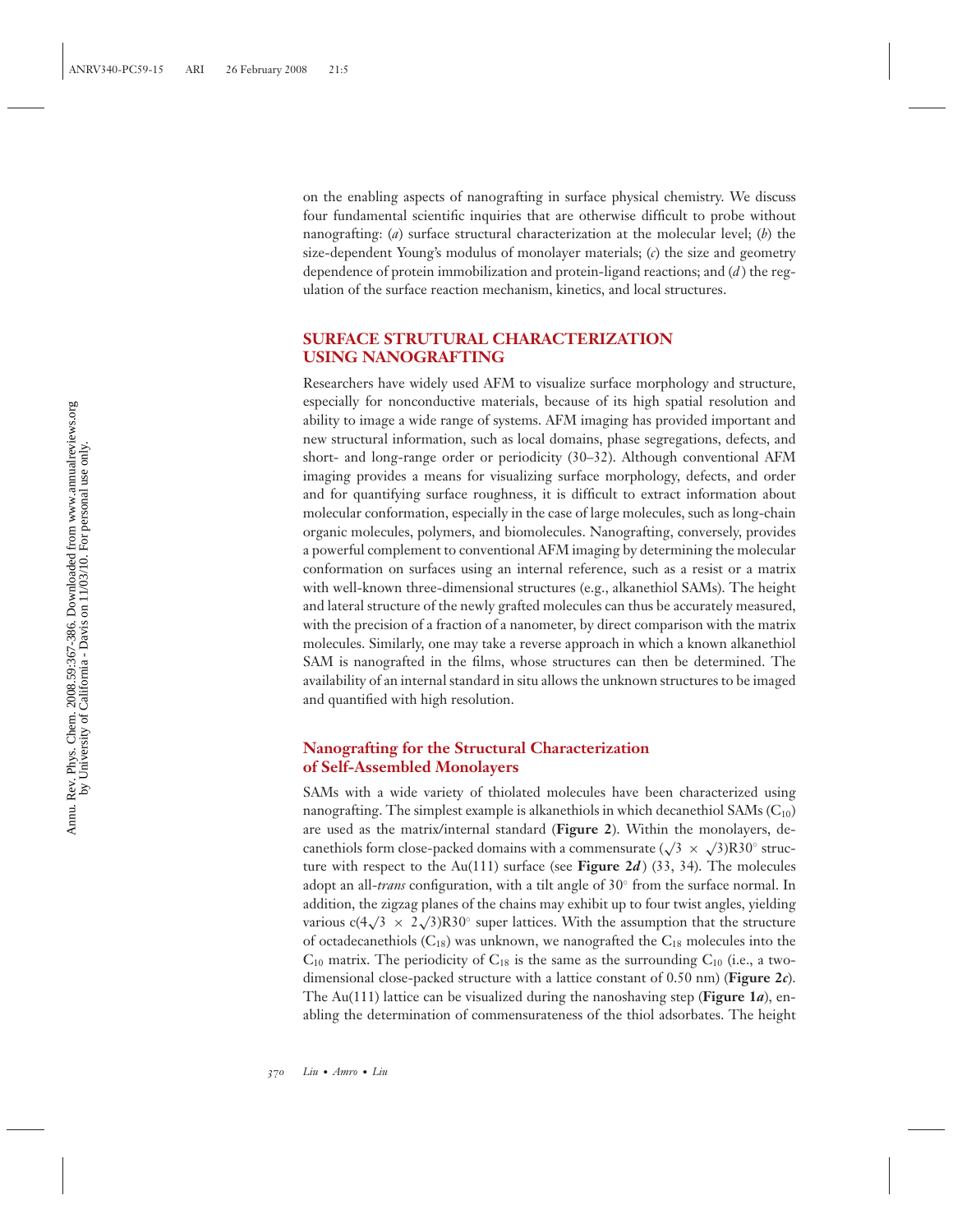on the enabling aspects of nanografting in surface physical chemistry. We discuss four fundamental scientific inquiries that are otherwise difficult to probe without nanografting: (*a*) surface structural characterization at the molecular level; (*b*) the size-dependent Young's modulus of monolayer materials; (*c*) the size and geometry dependence of protein immobilization and protein-ligand reactions; and (*d* ) the regulation of the surface reaction mechanism, kinetics, and local structures.

## **SURFACE STRUTURAL CHARACTERIZATION USING NANOGRAFTING**

Researchers have widely used AFM to visualize surface morphology and structure, especially for nonconductive materials, because of its high spatial resolution and ability to image a wide range of systems. AFM imaging has provided important and new structural information, such as local domains, phase segregations, defects, and short- and long-range order or periodicity (30–32). Although conventional AFM imaging provides a means for visualizing surface morphology, defects, and order and for quantifying surface roughness, it is difficult to extract information about molecular conformation, especially in the case of large molecules, such as long-chain organic molecules, polymers, and biomolecules. Nanografting, conversely, provides a powerful complement to conventional AFM imaging by determining the molecular conformation on surfaces using an internal reference, such as a resist or a matrix with well-known three-dimensional structures (e.g., alkanethiol SAMs). The height and lateral structure of the newly grafted molecules can thus be accurately measured, with the precision of a fraction of a nanometer, by direct comparison with the matrix molecules. Similarly, one may take a reverse approach in which a known alkanethiol SAM is nanografted in the films, whose structures can then be determined. The availability of an internal standard in situ allows the unknown structures to be imaged and quantified with high resolution.

## **Nanografting for the Structural Characterization of Self-Assembled Monolayers**

SAMs with a wide variety of thiolated molecules have been characterized using nanografting. The simplest example is alkanethiols in which decanethiol SAMs  $(C_{10})$ are used as the matrix/internal standard (**Figure 2**). Within the monolayers, decanethiols form close-packed domains with a commensurate  $(\sqrt{3} \times \sqrt{3})R30^\circ$  structure with respect to the Au(111) surface (see **Figure 2***d* ) (33, 34). The molecules adopt an all-*trans* configuration, with a tilt angle of 30◦ from the surface normal. In addition, the zigzag planes of the chains may exhibit up to four twist angles, yielding various c(4 $\sqrt{3}$  × 2 $\sqrt{3}$ )R30° super lattices. With the assumption that the structure of octadecanethiols  $(C_{18})$  was unknown, we nanografted the  $C_{18}$  molecules into the  $C_{10}$  matrix. The periodicity of  $C_{18}$  is the same as the surrounding  $C_{10}$  (i.e., a twodimensional close-packed structure with a lattice constant of 0.50 nm) (**Figure 2***c*). The Au(111) lattice can be visualized during the nanoshaving step (**Figure 1***a*), enabling the determination of commensurateness of the thiol adsorbates. The height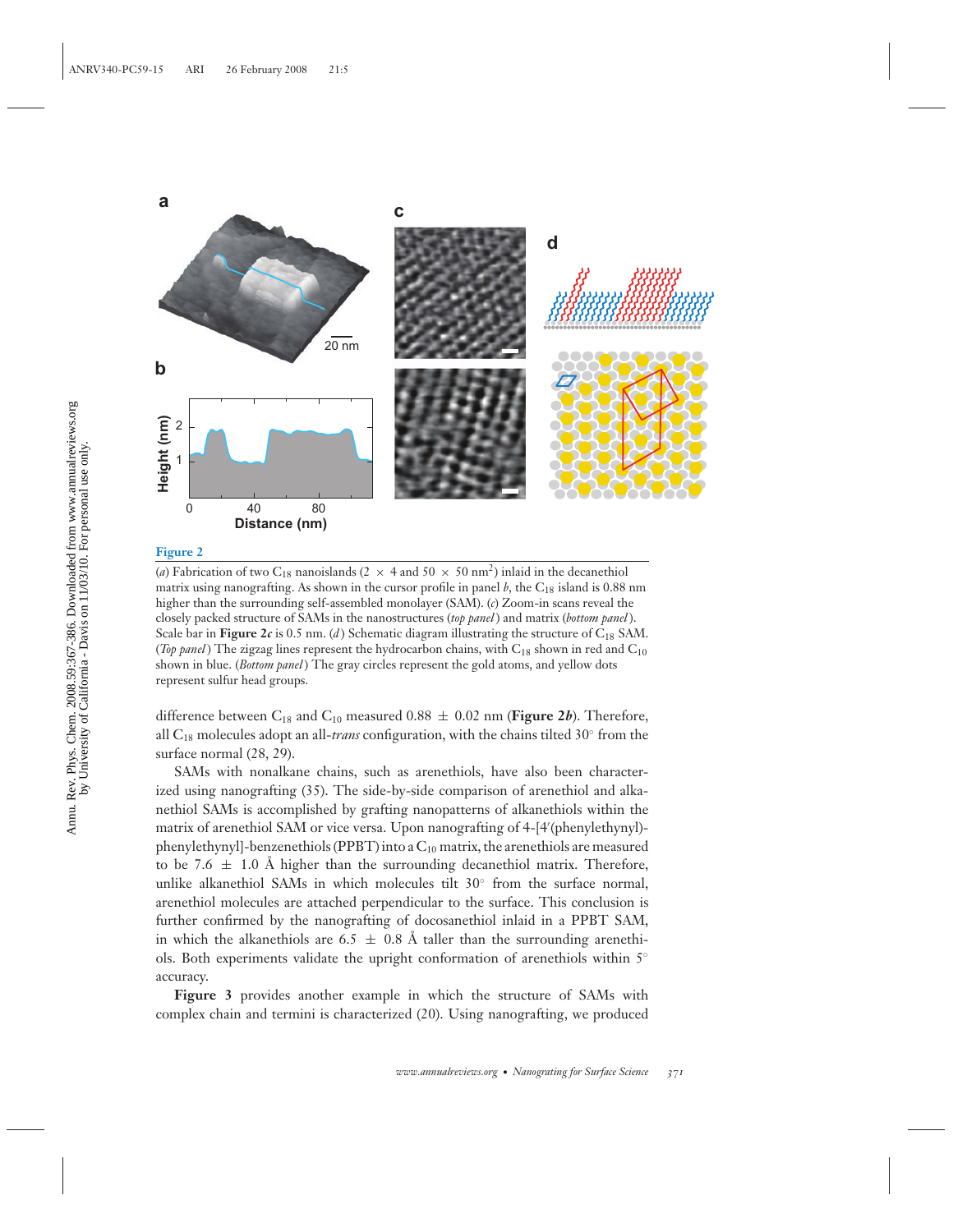

(*a*) Fabrication of two C<sub>18</sub> nanoislands (2  $\times$  4 and 50  $\times$  50 nm<sup>2</sup>) inlaid in the decanethiol matrix using nanografting. As shown in the cursor profile in panel  $b$ , the  $C_{18}$  island is 0.88 nm higher than the surrounding self-assembled monolayer (SAM). (*c*) Zoom-in scans reveal the closely packed structure of SAMs in the nanostructures (*top panel* ) and matrix (*bottom panel* ). Scale bar in **Figure 2***c* is 0.5 nm. (*d*) Schematic diagram illustrating the structure of  $C_{18}$  SAM. (*Top panel*) The zigzag lines represent the hydrocarbon chains, with  $C_{18}$  shown in red and  $C_{10}$ shown in blue. (*Bottom panel* ) The gray circles represent the gold atoms, and yellow dots represent sulfur head groups.

difference between  $C_{18}$  and  $C_{10}$  measured 0.88  $\pm$  0.02 nm (**Figure 2***b*). Therefore, all C18 molecules adopt an all-*trans* configuration, with the chains tilted 30◦ from the surface normal (28, 29).

SAMs with nonalkane chains, such as arenethiols, have also been characterized using nanografting (35). The side-by-side comparison of arenethiol and alkanethiol SAMs is accomplished by grafting nanopatterns of alkanethiols within the matrix of arenethiol SAM or vice versa. Upon nanografting of 4-[4 (phenylethynyl) phenylethynyl]-benzenethiols (PPBT) into a  $C_{10}$  matrix, the arenethiols are measured to be 7.6  $\pm$  1.0 Å higher than the surrounding decanethiol matrix. Therefore, unlike alkanethiol SAMs in which molecules tilt  $30°$  from the surface normal, arenethiol molecules are attached perpendicular to the surface. This conclusion is further confirmed by the nanografting of docosanethiol inlaid in a PPBT SAM, in which the alkanethiols are 6.5  $\pm$  0.8 Å taller than the surrounding arenethiols. Both experiments validate the upright conformation of arenethiols within  $5°$ accuracy.

**Figure 3** provides another example in which the structure of SAMs with complex chain and termini is characterized (20). Using nanografting, we produced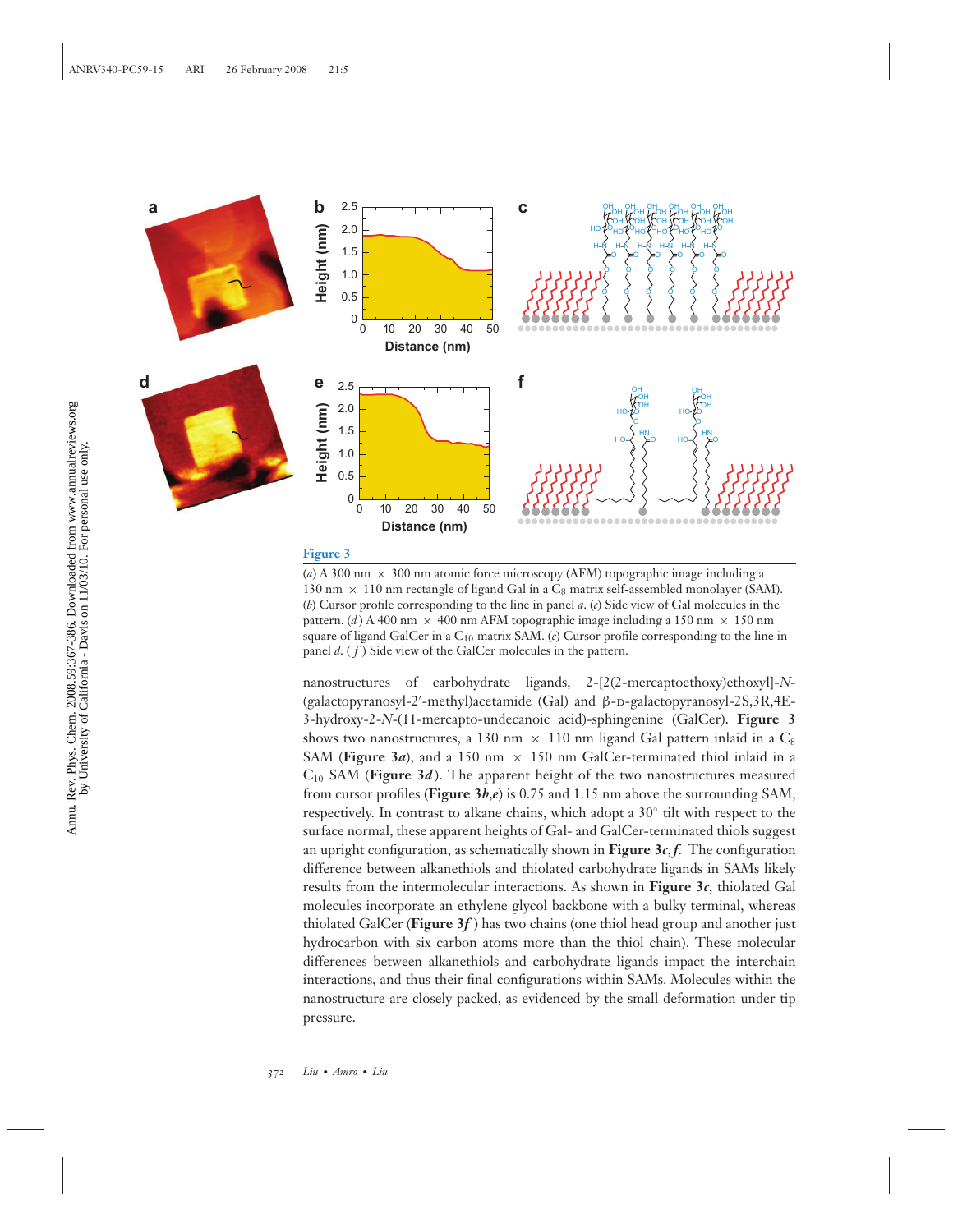

(*a*) A 300 nm  $\times$  300 nm atomic force microscopy (AFM) topographic image including a 130 nm  $\times$  110 nm rectangle of ligand Gal in a C<sub>8</sub> matrix self-assembled monolayer (SAM). (*b*) Cursor profile corresponding to the line in panel *a*. (*c*) Side view of Gal molecules in the pattern. (*d*) A 400 nm  $\times$  400 nm AFM topographic image including a 150 nm  $\times$  150 nm square of ligand GalCer in a C10 matrix SAM. (*e*) Cursor profile corresponding to the line in panel *d*. ( *f* ) Side view of the GalCer molecules in the pattern.

nanostructures of carbohydrate ligands, 2-[2(2-mercaptoethoxy)ethoxyl]-*N*- (galactopyranosyl-2'-methyl)acetamide (Gal) and β-D-galactopyranosyl-2S,3R,4E-3-hydroxy-2-*N*-(11-mercapto-undecanoic acid)-sphingenine (GalCer). **Figure 3** shows two nanostructures, a 130 nm  $\times$  110 nm ligand Gal pattern inlaid in a C<sub>8</sub> SAM (Figure 3*a*), and a 150 nm  $\times$  150 nm GalCer-terminated thiol inlaid in a  $C_{10}$  SAM (**Figure 3***d*). The apparent height of the two nanostructures measured from cursor profiles (**Figure 3***b*,*e*) is 0.75 and 1.15 nm above the surrounding SAM, respectively. In contrast to alkane chains, which adopt a 30◦ tilt with respect to the surface normal, these apparent heights of Gal- and GalCer-terminated thiols suggest an upright configuration, as schematically shown in Figure  $3c$ ,  $f$ . The configuration difference between alkanethiols and thiolated carbohydrate ligands in SAMs likely results from the intermolecular interactions. As shown in **Figure 3***c*, thiolated Gal molecules incorporate an ethylene glycol backbone with a bulky terminal, whereas thiolated GalCer (**Figure 3***f* ) has two chains (one thiol head group and another just hydrocarbon with six carbon atoms more than the thiol chain). These molecular differences between alkanethiols and carbohydrate ligands impact the interchain interactions, and thus their final configurations within SAMs. Molecules within the nanostructure are closely packed, as evidenced by the small deformation under tip pressure.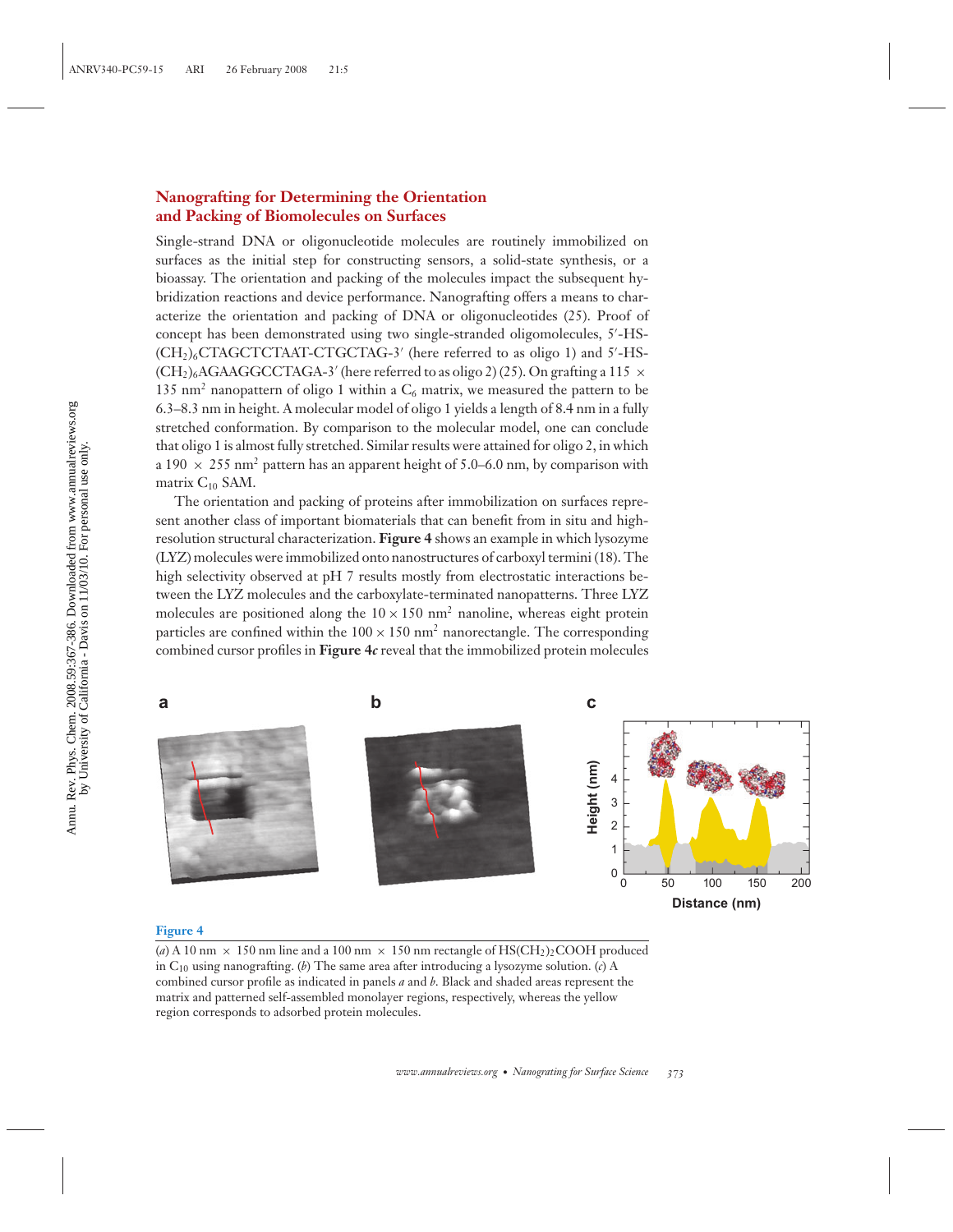## **Nanografting for Determining the Orientation and Packing of Biomolecules on Surfaces**

Single-strand DNA or oligonucleotide molecules are routinely immobilized on surfaces as the initial step for constructing sensors, a solid-state synthesis, or a bioassay. The orientation and packing of the molecules impact the subsequent hybridization reactions and device performance. Nanografting offers a means to characterize the orientation and packing of DNA or oligonucleotides (25). Proof of concept has been demonstrated using two single-stranded oligomolecules, 5 -HS-  $(\text{CH}_2)_6$ CTAGCTCTAAT-CTGCTAG-3' (here referred to as oligo 1) and 5'-HS- $(CH<sub>2</sub>)<sub>6</sub>AGAAGGECTAGA-3'$  (here referred to as oligo 2) (25). On grafting a 115  $\times$ 135 nm<sup>2</sup> nanopattern of oligo 1 within a  $C_6$  matrix, we measured the pattern to be 6.3–8.3 nm in height. A molecular model of oligo 1 yields a length of 8.4 nm in a fully stretched conformation. By comparison to the molecular model, one can conclude that oligo 1 is almost fully stretched. Similar results were attained for oligo 2, in which a 190  $\times$  255 nm<sup>2</sup> pattern has an apparent height of 5.0–6.0 nm, by comparison with matrix  $C_{10}$  SAM.

The orientation and packing of proteins after immobilization on surfaces represent another class of important biomaterials that can benefit from in situ and highresolution structural characterization. **Figure 4** shows an example in which lysozyme (LYZ) molecules were immobilized onto nanostructures of carboxyl termini (18). The high selectivity observed at pH 7 results mostly from electrostatic interactions between the LYZ molecules and the carboxylate-terminated nanopatterns. Three LYZ molecules are positioned along the  $10 \times 150$  nm<sup>2</sup> nanoline, whereas eight protein particles are confined within the  $100 \times 150$  nm<sup>2</sup> nanorectangle. The corresponding combined cursor profiles in **Figure 4***c* reveal that the immobilized protein molecules



#### **Figure 4**

(a) A 10 nm  $\times$  150 nm line and a 100 nm  $\times$  150 nm rectangle of HS(CH<sub>2</sub>)<sub>2</sub>COOH produced in C10 using nanografting. (*b*) The same area after introducing a lysozyme solution. (*c*) A combined cursor profile as indicated in panels *a* and *b*. Black and shaded areas represent the matrix and patterned self-assembled monolayer regions, respectively, whereas the yellow region corresponds to adsorbed protein molecules.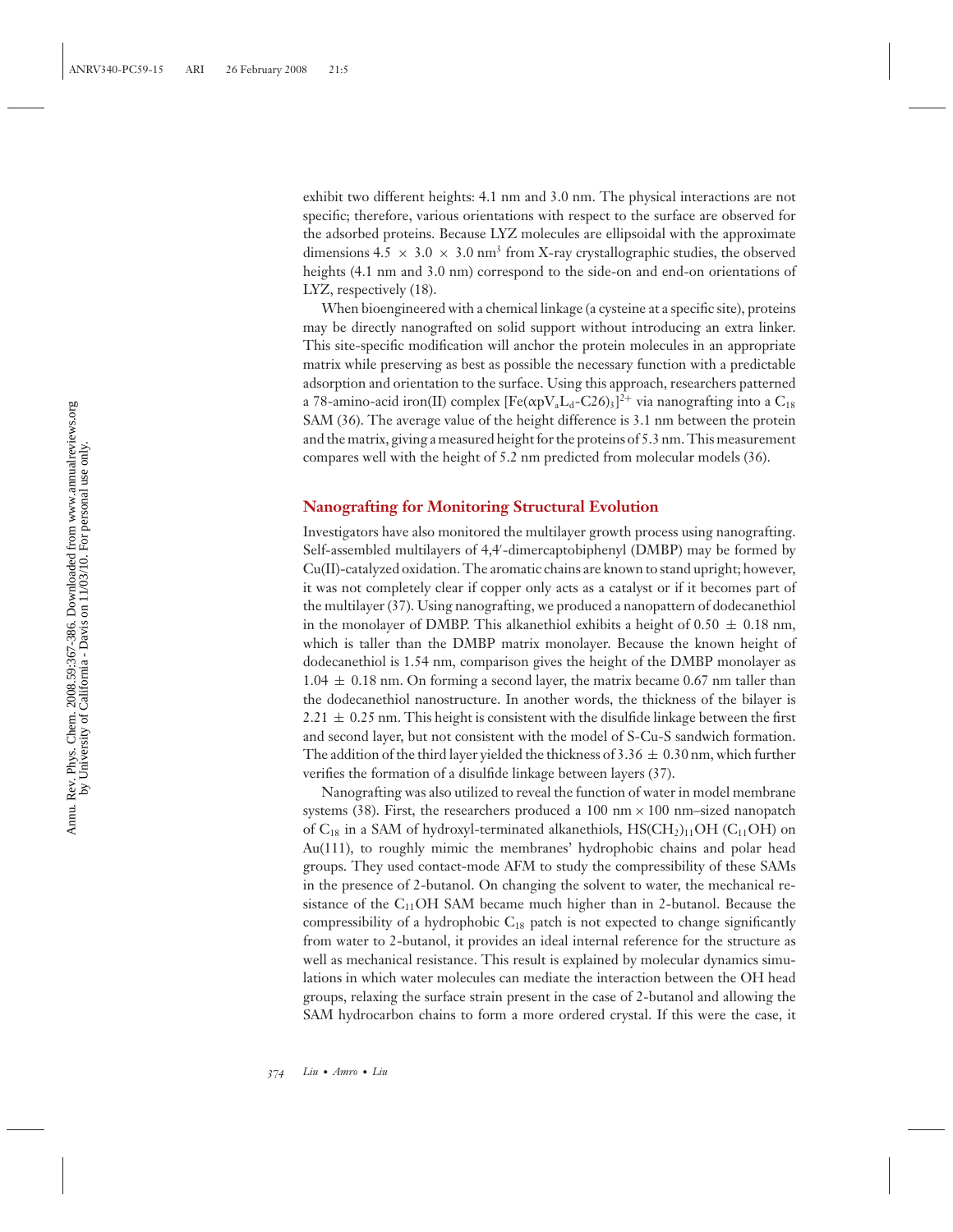exhibit two different heights: 4.1 nm and 3.0 nm. The physical interactions are not specific; therefore, various orientations with respect to the surface are observed for the adsorbed proteins. Because LYZ molecules are ellipsoidal with the approximate dimensions 4.5  $\times$  3.0  $\times$  3.0 nm<sup>3</sup> from X-ray crystallographic studies, the observed heights (4.1 nm and 3.0 nm) correspond to the side-on and end-on orientations of LYZ, respectively (18).

When bioengineered with a chemical linkage (a cysteine at a specific site), proteins may be directly nanografted on solid support without introducing an extra linker. This site-specific modification will anchor the protein molecules in an appropriate matrix while preserving as best as possible the necessary function with a predictable adsorption and orientation to the surface. Using this approach, researchers patterned a 78-amino-acid iron(II) complex  $[{\rm Fe}(\alpha {\rm p}V_{\rm a}L_{\rm d}$ -C26)3]<sup>2+</sup> via nanografting into a  ${\rm C_{18}}$ SAM (36). The average value of the height difference is 3.1 nm between the protein and the matrix, giving a measured height for the proteins of 5.3 nm. This measurement compares well with the height of 5.2 nm predicted from molecular models (36).

## **Nanografting for Monitoring Structural Evolution**

Investigators have also monitored the multilayer growth process using nanografting. Self-assembled multilayers of 4,4 -dimercaptobiphenyl (DMBP) may be formed by Cu(II)-catalyzed oxidation. The aromatic chains are known to stand upright; however, it was not completely clear if copper only acts as a catalyst or if it becomes part of the multilayer (37). Using nanografting, we produced a nanopattern of dodecanethiol in the monolayer of DMBP. This alkanethiol exhibits a height of  $0.50 \pm 0.18$  nm, which is taller than the DMBP matrix monolayer. Because the known height of dodecanethiol is 1.54 nm, comparison gives the height of the DMBP monolayer as  $1.04 \pm 0.18$  nm. On forming a second layer, the matrix became 0.67 nm taller than the dodecanethiol nanostructure. In another words, the thickness of the bilayer is  $2.21 \pm 0.25$  nm. This height is consistent with the disulfide linkage between the first and second layer, but not consistent with the model of S-Cu-S sandwich formation. The addition of the third layer yielded the thickness of 3.36  $\pm$  0.30 nm, which further verifies the formation of a disulfide linkage between layers (37).

Nanografting was also utilized to reveal the function of water in model membrane systems (38). First, the researchers produced a 100 nm  $\times$  100 nm–sized nanopatch of  $C_{18}$  in a SAM of hydroxyl-terminated alkanethiols,  $HS(CH_2)_{11}OH (C_{11}OH)$  on Au(111), to roughly mimic the membranes' hydrophobic chains and polar head groups. They used contact-mode AFM to study the compressibility of these SAMs in the presence of 2-butanol. On changing the solvent to water, the mechanical resistance of the  $C_{11}OH$  SAM became much higher than in 2-butanol. Because the compressibility of a hydrophobic  $C_{18}$  patch is not expected to change significantly from water to 2-butanol, it provides an ideal internal reference for the structure as well as mechanical resistance. This result is explained by molecular dynamics simulations in which water molecules can mediate the interaction between the OH head groups, relaxing the surface strain present in the case of 2-butanol and allowing the SAM hydrocarbon chains to form a more ordered crystal. If this were the case, it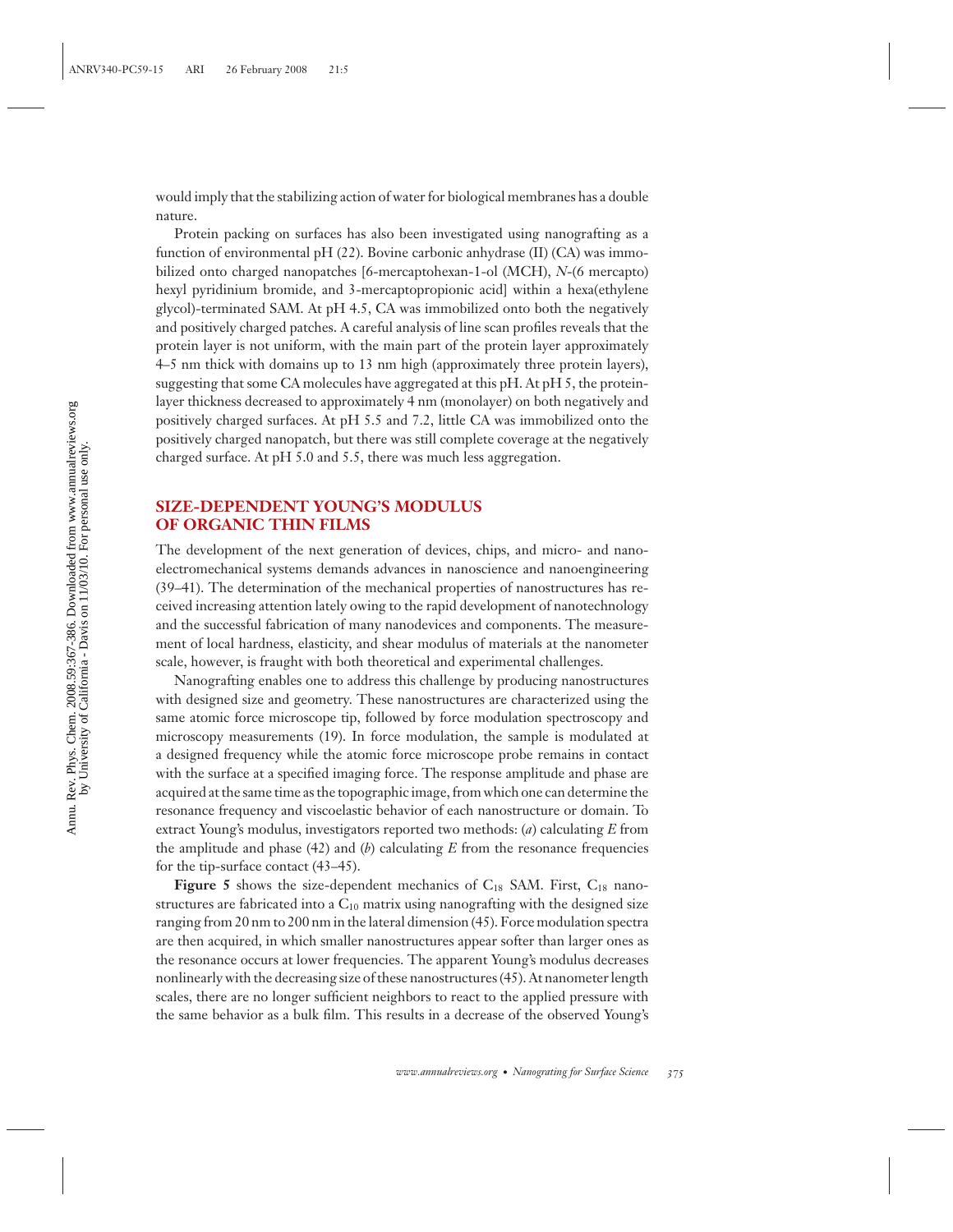would imply that the stabilizing action of water for biological membranes has a double nature.

Protein packing on surfaces has also been investigated using nanografting as a function of environmental pH (22). Bovine carbonic anhydrase (II) (CA) was immobilized onto charged nanopatches [6-mercaptohexan-1-ol (MCH), *N*-(6 mercapto) hexyl pyridinium bromide, and 3-mercaptopropionic acid] within a hexa(ethylene glycol)-terminated SAM. At pH 4.5, CA was immobilized onto both the negatively and positively charged patches. A careful analysis of line scan profiles reveals that the protein layer is not uniform, with the main part of the protein layer approximately 4–5 nm thick with domains up to 13 nm high (approximately three protein layers), suggesting that some CA molecules have aggregated at this pH. At pH 5, the proteinlayer thickness decreased to approximately 4 nm (monolayer) on both negatively and positively charged surfaces. At pH 5.5 and 7.2, little CA was immobilized onto the positively charged nanopatch, but there was still complete coverage at the negatively charged surface. At pH 5.0 and 5.5, there was much less aggregation.

## **SIZE-DEPENDENT YOUNG'S MODULUS OF ORGANIC THIN FILMS**

The development of the next generation of devices, chips, and micro- and nanoelectromechanical systems demands advances in nanoscience and nanoengineering (39–41). The determination of the mechanical properties of nanostructures has received increasing attention lately owing to the rapid development of nanotechnology and the successful fabrication of many nanodevices and components. The measurement of local hardness, elasticity, and shear modulus of materials at the nanometer scale, however, is fraught with both theoretical and experimental challenges.

Nanografting enables one to address this challenge by producing nanostructures with designed size and geometry. These nanostructures are characterized using the same atomic force microscope tip, followed by force modulation spectroscopy and microscopy measurements (19). In force modulation, the sample is modulated at a designed frequency while the atomic force microscope probe remains in contact with the surface at a specified imaging force. The response amplitude and phase are acquired at the same time as the topographic image, from which one can determine the resonance frequency and viscoelastic behavior of each nanostructure or domain. To extract Young's modulus, investigators reported two methods: (*a*) calculating *E* from the amplitude and phase (42) and (*b*) calculating *E* from the resonance frequencies for the tip-surface contact (43–45).

**Figure 5** shows the size-dependent mechanics of  $C_{18}$  SAM. First,  $C_{18}$  nanostructures are fabricated into a  $C_{10}$  matrix using nanografting with the designed size ranging from 20 nm to 200 nm in the lateral dimension (45). Force modulation spectra are then acquired, in which smaller nanostructures appear softer than larger ones as the resonance occurs at lower frequencies. The apparent Young's modulus decreases nonlinearly with the decreasing size of these nanostructures (45). At nanometer length scales, there are no longer sufficient neighbors to react to the applied pressure with the same behavior as a bulk film. This results in a decrease of the observed Young's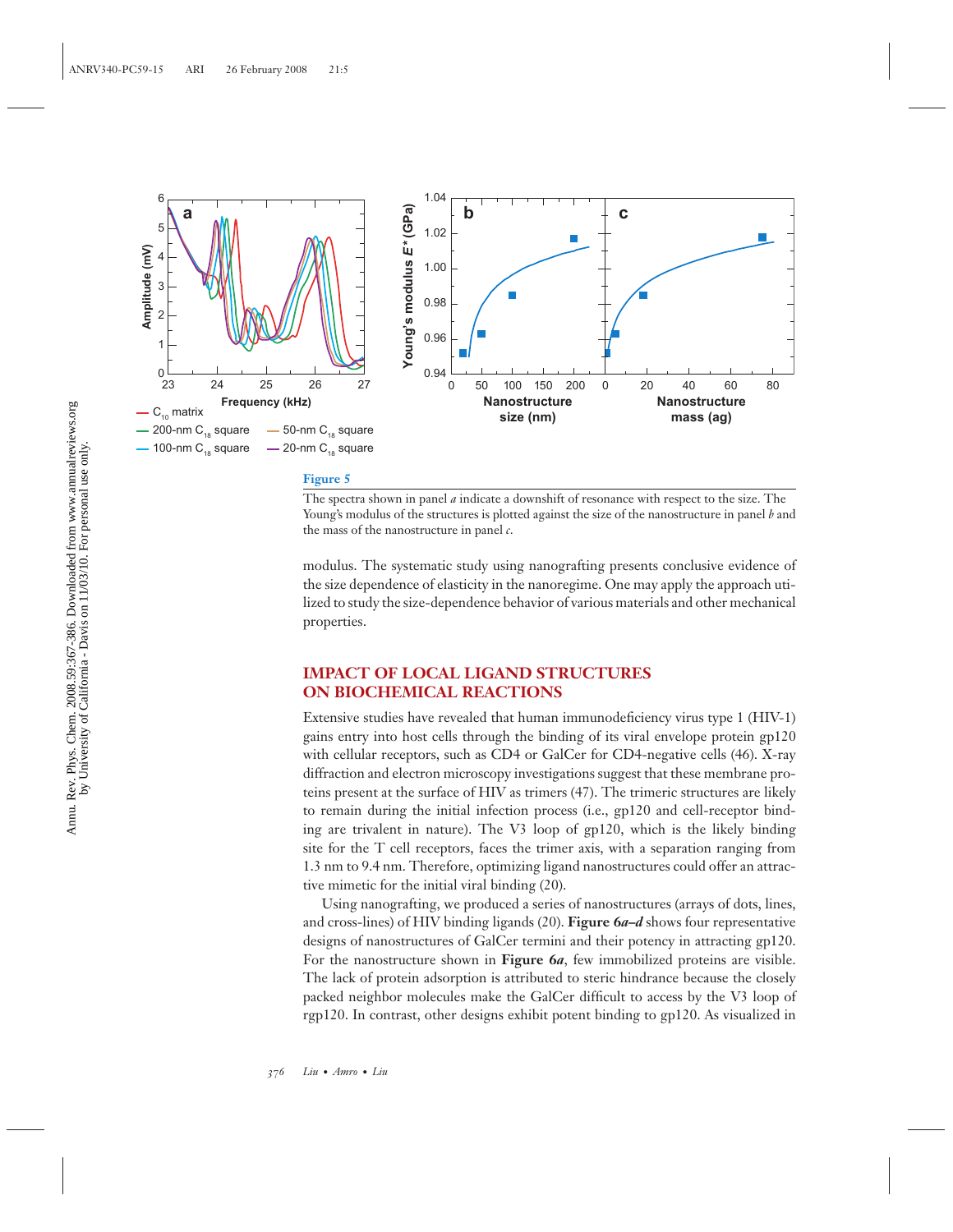

The spectra shown in panel *a* indicate a downshift of resonance with respect to the size. The Young's modulus of the structures is plotted against the size of the nanostructure in panel *b* and the mass of the nanostructure in panel *c*.

modulus. The systematic study using nanografting presents conclusive evidence of the size dependence of elasticity in the nanoregime. One may apply the approach utilized to study the size-dependence behavior of various materials and other mechanical properties.

## **IMPACT OF LOCAL LIGAND STRUCTURES ON BIOCHEMICAL REACTIONS**

Extensive studies have revealed that human immunodeficiency virus type 1 (HIV-1) gains entry into host cells through the binding of its viral envelope protein gp120 with cellular receptors, such as CD4 or GalCer for CD4-negative cells (46). X-ray diffraction and electron microscopy investigations suggest that these membrane proteins present at the surface of HIV as trimers (47). The trimeric structures are likely to remain during the initial infection process (i.e., gp120 and cell-receptor binding are trivalent in nature). The V3 loop of gp120, which is the likely binding site for the T cell receptors, faces the trimer axis, with a separation ranging from 1.3 nm to 9.4 nm. Therefore, optimizing ligand nanostructures could offer an attractive mimetic for the initial viral binding (20).

Using nanografting, we produced a series of nanostructures (arrays of dots, lines, and cross-lines) of HIV binding ligands (20). **Figure 6***a***–***d* shows four representative designs of nanostructures of GalCer termini and their potency in attracting gp120. For the nanostructure shown in **Figure 6***a*, few immobilized proteins are visible. The lack of protein adsorption is attributed to steric hindrance because the closely packed neighbor molecules make the GalCer difficult to access by the V3 loop of rgp120. In contrast, other designs exhibit potent binding to gp120. As visualized in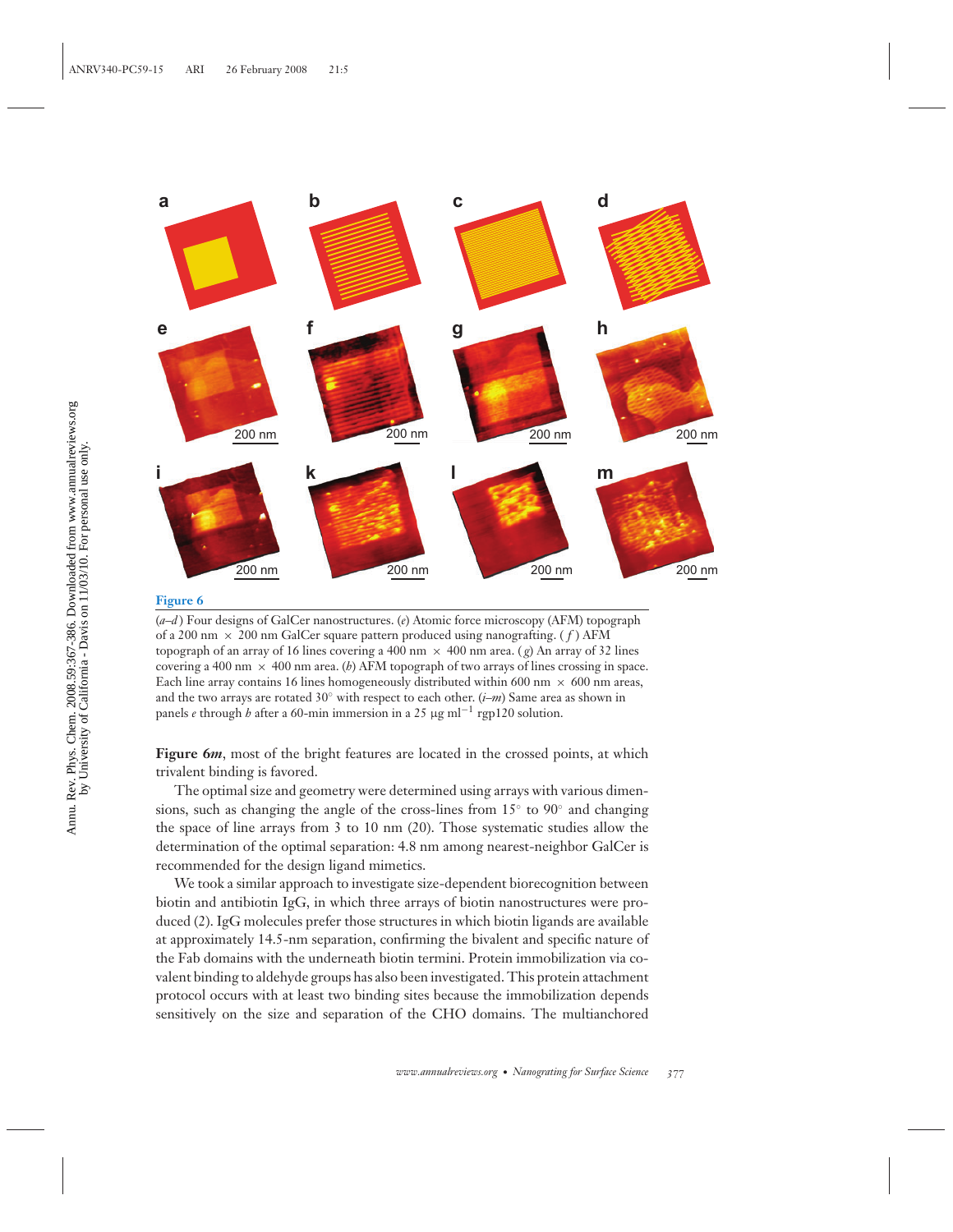

(*a*–*d* ) Four designs of GalCer nanostructures. (*e*) Atomic force microscopy (AFM) topograph of a 200 nm × 200 nm GalCer square pattern produced using nanografting. ( *f* ) AFM topograph of an array of 16 lines covering a 400 nm  $\times$  400 nm area. (*g*) An array of 32 lines covering a 400 nm  $\times$  400 nm area. (*b*) AFM topograph of two arrays of lines crossing in space. Each line array contains 16 lines homogeneously distributed within 600 nm  $\times$  600 nm areas, and the two arrays are rotated 30◦ with respect to each other. (*i*–*m*) Same area as shown in panels *e* through *h* after a 60-min immersion in a 25 μg ml−<sup>1</sup> rgp120 solution.

**Figure 6***m*, most of the bright features are located in the crossed points, at which trivalent binding is favored.

The optimal size and geometry were determined using arrays with various dimensions, such as changing the angle of the cross-lines from 15◦ to 90◦ and changing the space of line arrays from 3 to 10 nm (20). Those systematic studies allow the determination of the optimal separation: 4.8 nm among nearest-neighbor GalCer is recommended for the design ligand mimetics.

We took a similar approach to investigate size-dependent biorecognition between biotin and antibiotin IgG, in which three arrays of biotin nanostructures were produced (2). IgG molecules prefer those structures in which biotin ligands are available at approximately 14.5-nm separation, confirming the bivalent and specific nature of the Fab domains with the underneath biotin termini. Protein immobilization via covalent binding to aldehyde groups has also been investigated. This protein attachment protocol occurs with at least two binding sites because the immobilization depends sensitively on the size and separation of the CHO domains. The multianchored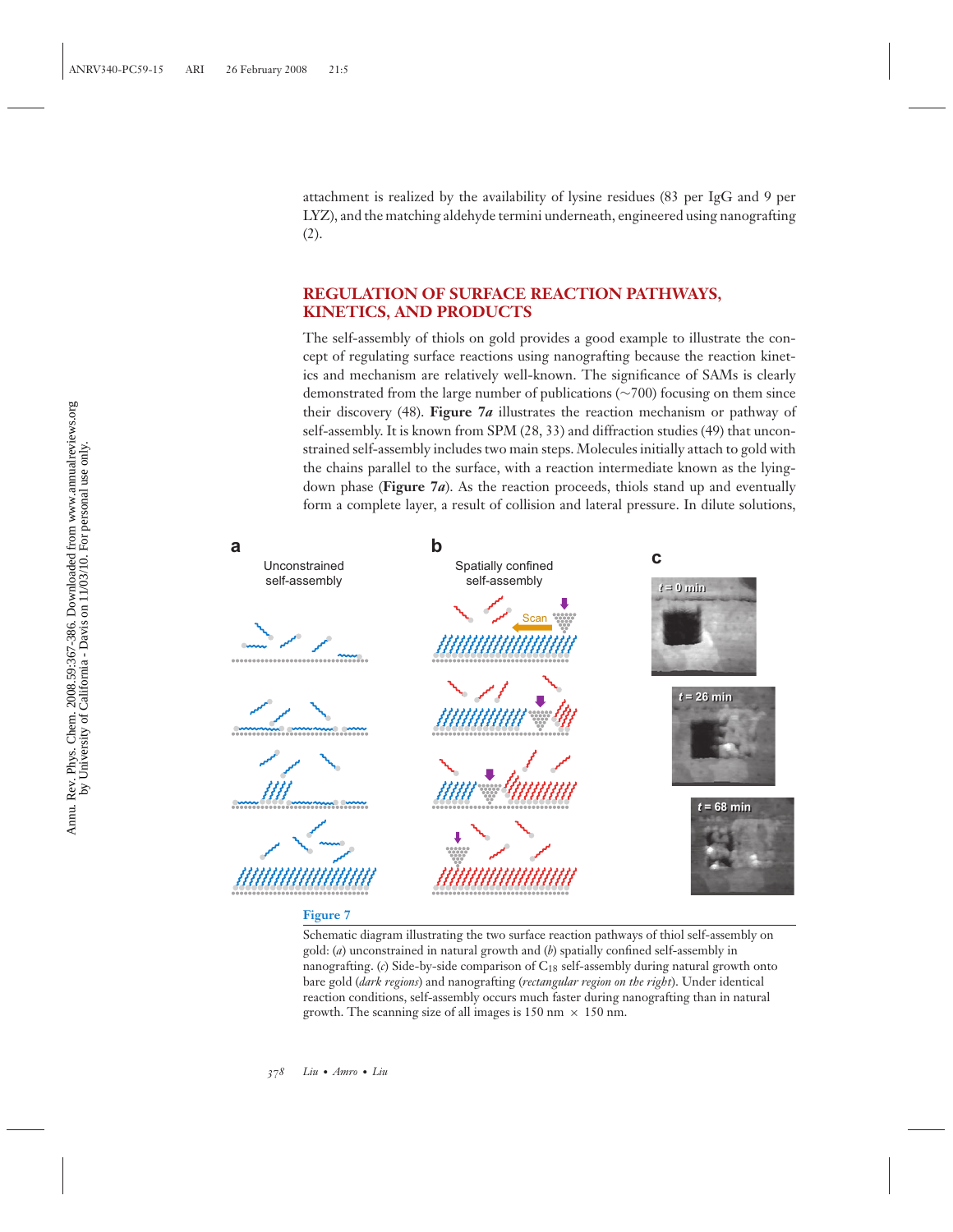attachment is realized by the availability of lysine residues (83 per IgG and 9 per LYZ), and the matching aldehyde termini underneath, engineered using nanografting (2).

## **REGULATION OF SURFACE REACTION PATHWAYS, KINETICS, AND PRODUCTS**

The self-assembly of thiols on gold provides a good example to illustrate the concept of regulating surface reactions using nanografting because the reaction kinetics and mechanism are relatively well-known. The significance of SAMs is clearly demonstrated from the large number of publications (∼700) focusing on them since their discovery (48). **Figure 7***a* illustrates the reaction mechanism or pathway of self-assembly. It is known from SPM (28, 33) and diffraction studies (49) that unconstrained self-assembly includes two main steps. Molecules initially attach to gold with the chains parallel to the surface, with a reaction intermediate known as the lyingdown phase (**Figure 7***a*). As the reaction proceeds, thiols stand up and eventually form a complete layer, a result of collision and lateral pressure. In dilute solutions,



Schematic diagram illustrating the two surface reaction pathways of thiol self-assembly on gold: (*a*) unconstrained in natural growth and (*b*) spatially confined self-assembly in nanografting. (*c*) Side-by-side comparison of C<sub>18</sub> self-assembly during natural growth onto bare gold (*dark regions*) and nanografting (*rectangular region on the right*). Under identical reaction conditions, self-assembly occurs much faster during nanografting than in natural growth. The scanning size of all images is 150 nm  $\times$  150 nm.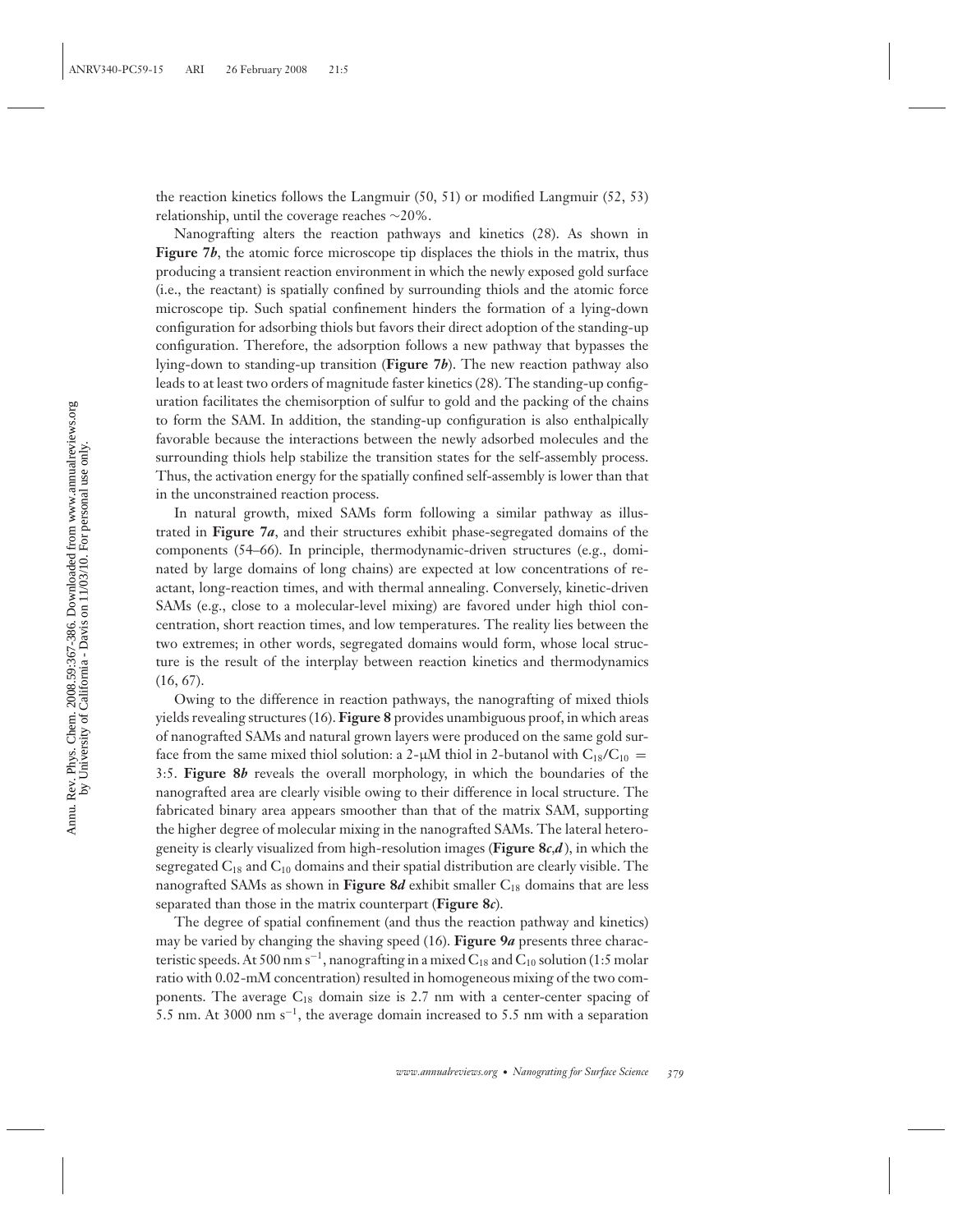the reaction kinetics follows the Langmuir (50, 51) or modified Langmuir (52, 53) relationship, until the coverage reaches ∼20%.

Nanografting alters the reaction pathways and kinetics (28). As shown in **Figure 7***b*, the atomic force microscope tip displaces the thiols in the matrix, thus producing a transient reaction environment in which the newly exposed gold surface (i.e., the reactant) is spatially confined by surrounding thiols and the atomic force microscope tip. Such spatial confinement hinders the formation of a lying-down configuration for adsorbing thiols but favors their direct adoption of the standing-up configuration. Therefore, the adsorption follows a new pathway that bypasses the lying-down to standing-up transition (**Figure 7***b*). The new reaction pathway also leads to at least two orders of magnitude faster kinetics (28). The standing-up configuration facilitates the chemisorption of sulfur to gold and the packing of the chains to form the SAM. In addition, the standing-up configuration is also enthalpically favorable because the interactions between the newly adsorbed molecules and the surrounding thiols help stabilize the transition states for the self-assembly process. Thus, the activation energy for the spatially confined self-assembly is lower than that in the unconstrained reaction process.

In natural growth, mixed SAMs form following a similar pathway as illustrated in **Figure 7***a*, and their structures exhibit phase-segregated domains of the components (54–66). In principle, thermodynamic-driven structures (e.g., dominated by large domains of long chains) are expected at low concentrations of reactant, long-reaction times, and with thermal annealing. Conversely, kinetic-driven SAMs (e.g., close to a molecular-level mixing) are favored under high thiol concentration, short reaction times, and low temperatures. The reality lies between the two extremes; in other words, segregated domains would form, whose local structure is the result of the interplay between reaction kinetics and thermodynamics (16, 67).

Owing to the difference in reaction pathways, the nanografting of mixed thiols yields revealing structures (16). **Figure 8** provides unambiguous proof, in which areas of nanografted SAMs and natural grown layers were produced on the same gold surface from the same mixed thiol solution: a 2- $\mu$ M thiol in 2-butanol with C<sub>18</sub>/C<sub>10</sub> = 3:5. **Figure 8***b* reveals the overall morphology, in which the boundaries of the nanografted area are clearly visible owing to their difference in local structure. The fabricated binary area appears smoother than that of the matrix SAM, supporting the higher degree of molecular mixing in the nanografted SAMs. The lateral heterogeneity is clearly visualized from high-resolution images (**Figure 8***c*,*d* ), in which the segregated  $C_{18}$  and  $C_{10}$  domains and their spatial distribution are clearly visible. The nanografted SAMs as shown in **Figure 8***d* exhibit smaller C<sub>18</sub> domains that are less separated than those in the matrix counterpart (**Figure 8***c*).

The degree of spatial confinement (and thus the reaction pathway and kinetics) may be varied by changing the shaving speed (16). **Figure 9***a* presents three characteristic speeds. At 500 nm s<sup>-1</sup>, nanografting in a mixed  $C_{18}$  and  $C_{10}$  solution (1:5 molar ratio with 0.02-mM concentration) resulted in homogeneous mixing of the two components. The average  $C_{18}$  domain size is 2.7 nm with a center-center spacing of 5.5 nm. At 3000 nm s−1, the average domain increased to 5.5 nm with a separation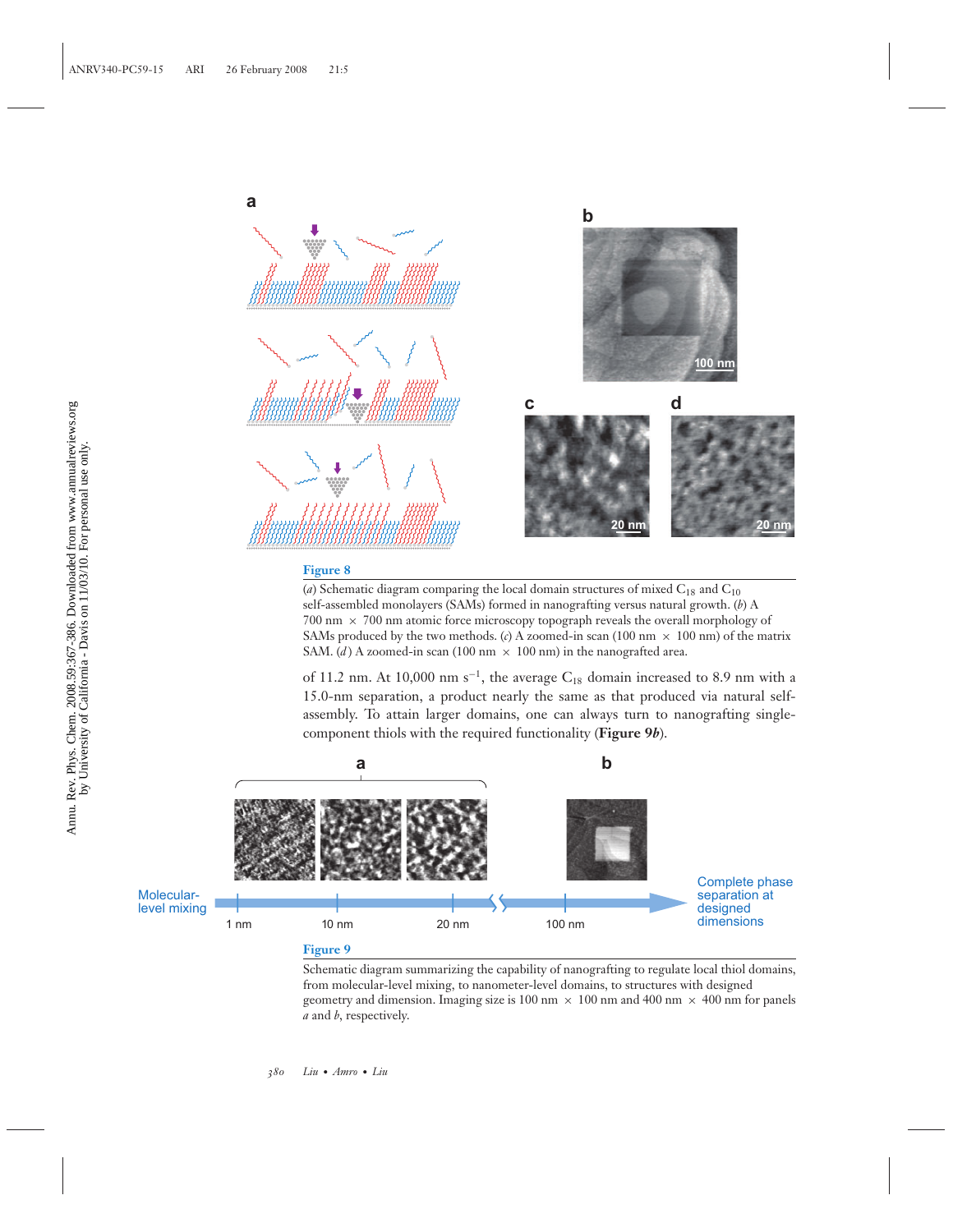

( $a$ ) Schematic diagram comparing the local domain structures of mixed  $C_{18}$  and  $C_{10}$ self-assembled monolayers (SAMs) formed in nanografting versus natural growth. (*b*) A 700 nm × 700 nm atomic force microscopy topograph reveals the overall morphology of SAMs produced by the two methods. (*c*) A zoomed-in scan (100 nm  $\times$  100 nm) of the matrix SAM. (*d*) A zoomed-in scan (100 nm  $\times$  100 nm) in the nanografted area.

of 11.2 nm. At 10,000 nm s<sup>-1</sup>, the average C<sub>18</sub> domain increased to 8.9 nm with a 15.0-nm separation, a product nearly the same as that produced via natural selfassembly. To attain larger domains, one can always turn to nanografting singlecomponent thiols with the required functionality (**Figure 9***b*).





Schematic diagram summarizing the capability of nanografting to regulate local thiol domains, from molecular-level mixing, to nanometer-level domains, to structures with designed geometry and dimension. Imaging size is 100 nm  $\times$  100 nm and 400 nm  $\times$  400 nm for panels *a* and *b*, respectively.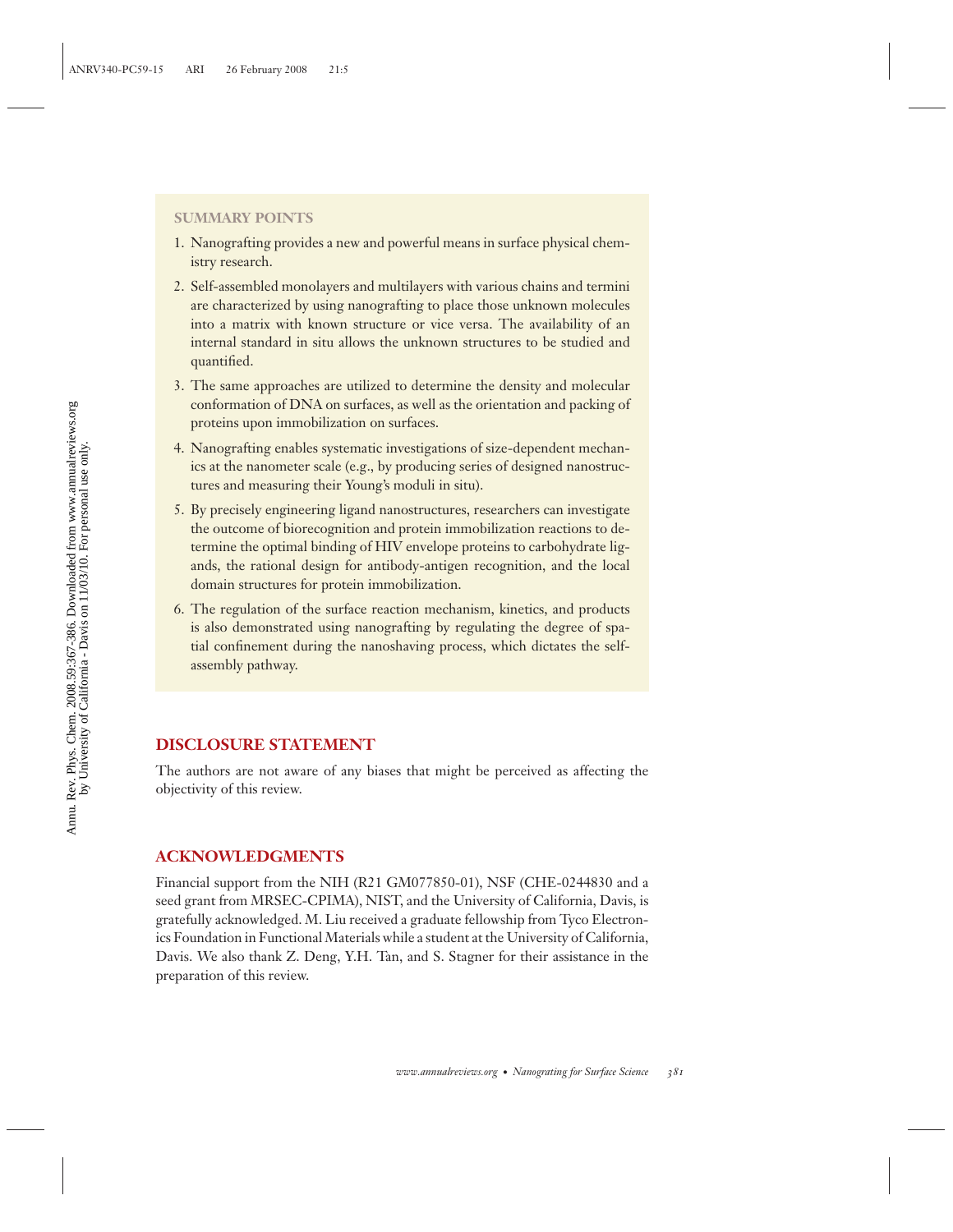#### **SUMMARY POINTS**

- 1. Nanografting provides a new and powerful means in surface physical chemistry research.
- 2. Self-assembled monolayers and multilayers with various chains and termini are characterized by using nanografting to place those unknown molecules into a matrix with known structure or vice versa. The availability of an internal standard in situ allows the unknown structures to be studied and quantified.
- 3. The same approaches are utilized to determine the density and molecular conformation of DNA on surfaces, as well as the orientation and packing of proteins upon immobilization on surfaces.
- 4. Nanografting enables systematic investigations of size-dependent mechanics at the nanometer scale (e.g., by producing series of designed nanostructures and measuring their Young's moduli in situ).
- 5. By precisely engineering ligand nanostructures, researchers can investigate the outcome of biorecognition and protein immobilization reactions to determine the optimal binding of HIV envelope proteins to carbohydrate ligands, the rational design for antibody-antigen recognition, and the local domain structures for protein immobilization.
- 6. The regulation of the surface reaction mechanism, kinetics, and products is also demonstrated using nanografting by regulating the degree of spatial confinement during the nanoshaving process, which dictates the selfassembly pathway.

### **DISCLOSURE STATEMENT**

The authors are not aware of any biases that might be perceived as affecting the objectivity of this review.

### **ACKNOWLEDGMENTS**

Financial support from the NIH (R21 GM077850-01), NSF (CHE-0244830 and a seed grant from MRSEC-CPIMA), NIST, and the University of California, Davis, is gratefully acknowledged. M. Liu received a graduate fellowship from Tyco Electronics Foundation in Functional Materials while a student at the University of California, Davis. We also thank Z. Deng, Y.H. Tan, and S. Stagner for their assistance in the preparation of this review.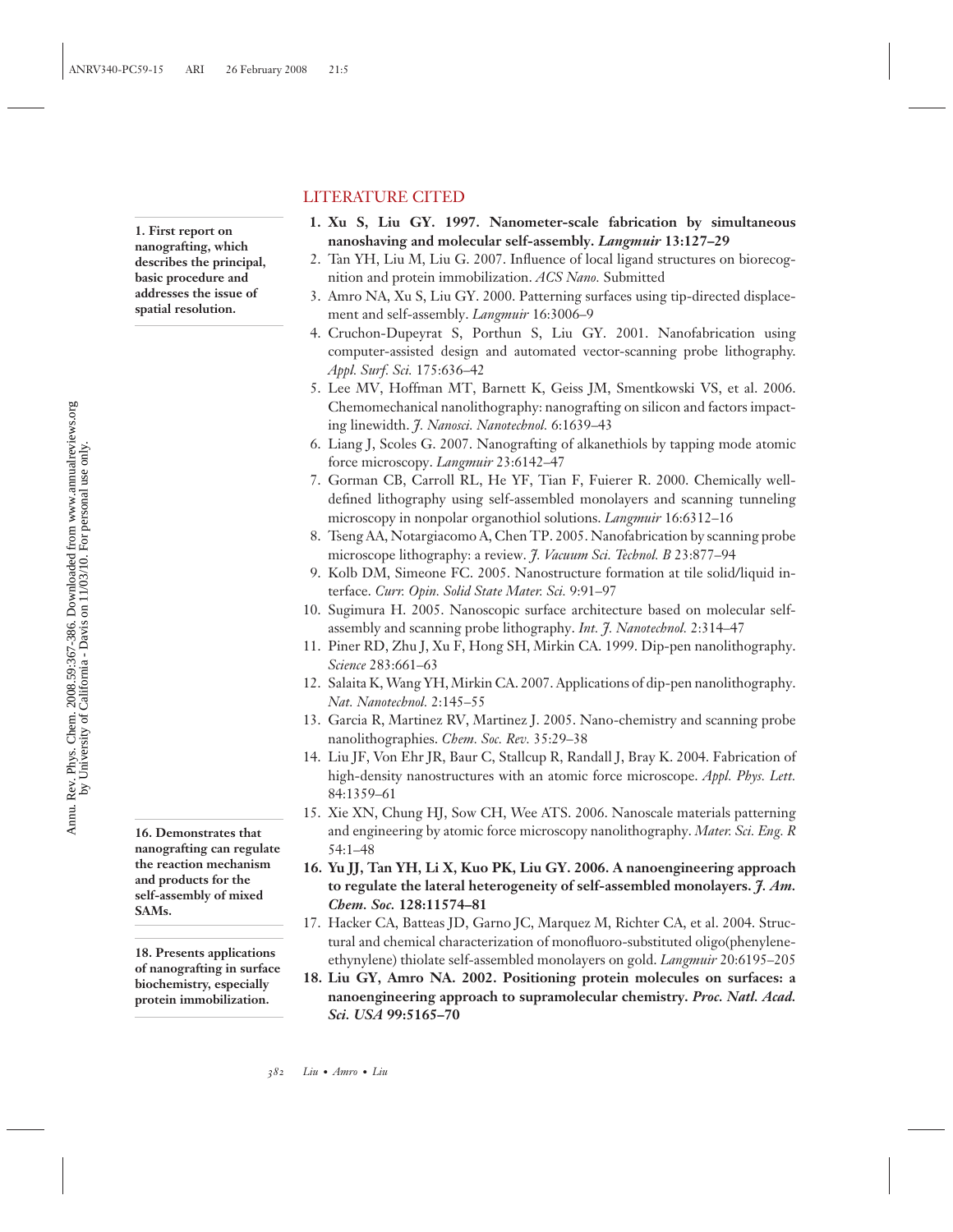## LITERATURE CITED

- **1. Xu S, Liu GY. 1997. Nanometer-scale fabrication by simultaneous nanoshaving and molecular self-assembly.** *Langmuir* **13:127–29**
	- 2. Tan YH, Liu M, Liu G. 2007. Influence of local ligand structures on biorecognition and protein immobilization. *ACS Nano.* Submitted
	- 3. Amro NA, Xu S, Liu GY. 2000. Patterning surfaces using tip-directed displacement and self-assembly. *Langmuir* 16:3006–9
- 4. Cruchon-Dupeyrat S, Porthun S, Liu GY. 2001. Nanofabrication using computer-assisted design and automated vector-scanning probe lithography. *Appl. Surf. Sci.* 175:636–42
- 5. Lee MV, Hoffman MT, Barnett K, Geiss JM, Smentkowski VS, et al. 2006. Chemomechanical nanolithography: nanografting on silicon and factors impacting linewidth. *J. Nanosci. Nanotechnol.* 6:1639–43
- 6. Liang J, Scoles G. 2007. Nanografting of alkanethiols by tapping mode atomic force microscopy. *Langmuir* 23:6142–47
- 7. Gorman CB, Carroll RL, He YF, Tian F, Fuierer R. 2000. Chemically welldefined lithography using self-assembled monolayers and scanning tunneling microscopy in nonpolar organothiol solutions. *Langmuir* 16:6312–16
- 8. Tseng AA, Notargiacomo A, Chen TP. 2005. Nanofabrication by scanning probe microscope lithography: a review. *J. Vacuum Sci. Technol. B* 23:877–94
- 9. Kolb DM, Simeone FC. 2005. Nanostructure formation at tile solid/liquid interface. *Curr. Opin. Solid State Mater. Sci.* 9:91–97
- 10. Sugimura H. 2005. Nanoscopic surface architecture based on molecular selfassembly and scanning probe lithography. *Int. J. Nanotechnol.* 2:314–47
- 11. Piner RD, Zhu J, Xu F, Hong SH, Mirkin CA. 1999. Dip-pen nanolithography. *Science* 283:661–63
- 12. Salaita K, Wang YH, Mirkin CA. 2007. Applications of dip-pen nanolithography. *Nat. Nanotechnol.* 2:145–55
- 13. Garcia R, Martinez RV, Martinez J. 2005. Nano-chemistry and scanning probe nanolithographies. *Chem. Soc. Rev.* 35:29–38
- 14. Liu JF, Von Ehr JR, Baur C, Stallcup R, Randall J, Bray K. 2004. Fabrication of high-density nanostructures with an atomic force microscope. *Appl. Phys. Lett.* 84:1359–61
- 15. Xie XN, Chung HJ, Sow CH, Wee ATS. 2006. Nanoscale materials patterning and engineering by atomic force microscopy nanolithography. *Mater. Sci. Eng. R* 54:1–48
- **16. Yu JJ, Tan YH, Li X, Kuo PK, Liu GY. 2006. A nanoengineering approach to regulate the lateral heterogeneity of self-assembled monolayers.** *J. Am. Chem. Soc.* **128:11574–81**
- 17. Hacker CA, Batteas JD, Garno JC, Marquez M, Richter CA, et al. 2004. Structural and chemical characterization of monofluoro-substituted oligo(phenylene-18. Presents applications<br>
ethynylene) thiolate self-assembled monolayers on gold. *Langmuir* 20:6195–205
	- **18. Liu GY, Amro NA. 2002. Positioning protein molecules on surfaces: a nanoengineering approach to supramolecular chemistry.** *Proc. Natl. Acad. Sci. USA* **99:5165–70**

**1. First report on nanografting, which describes the principal, basic procedure and addresses the issue of spatial resolution.**

**16. Demonstrates that nanografting can regulate the reaction mechanism and products for the self-assembly of mixed SAMs.**

**of nanografting in surface biochemistry, especially protein immobilization.**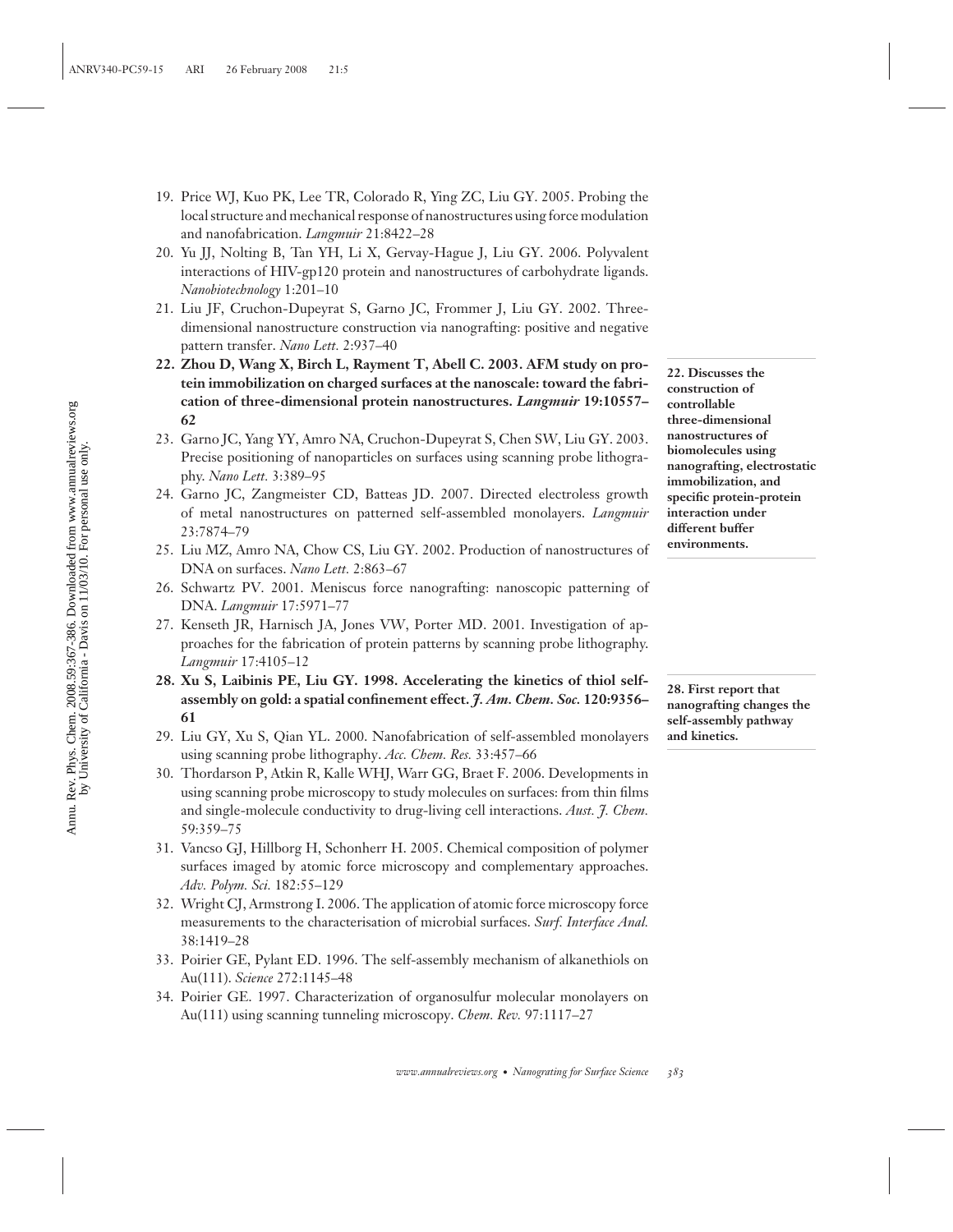- 19. Price WJ, Kuo PK, Lee TR, Colorado R, Ying ZC, Liu GY. 2005. Probing the local structure and mechanical response of nanostructures using force modulation and nanofabrication. *Langmuir* 21:8422–28
- 20. Yu JJ, Nolting B, Tan YH, Li X, Gervay-Hague J, Liu GY. 2006. Polyvalent interactions of HIV-gp120 protein and nanostructures of carbohydrate ligands. *Nanobiotechnology* 1:201–10
- 21. Liu JF, Cruchon-Dupeyrat S, Garno JC, Frommer J, Liu GY. 2002. Threedimensional nanostructure construction via nanografting: positive and negative pattern transfer. *Nano Lett.* 2:937–40
- **22. Zhou D, Wang X, Birch L, Rayment T, Abell C. 2003. AFM study on protein immobilization on charged surfaces at the nanoscale: toward the fabrication of three-dimensional protein nanostructures.** *Langmuir* **19:10557– 62**
- 23. Garno JC, Yang YY, Amro NA, Cruchon-Dupeyrat S, Chen SW, Liu GY. 2003. Precise positioning of nanoparticles on surfaces using scanning probe lithography. *Nano Lett.* 3:389–95
- 24. Garno JC, Zangmeister CD, Batteas JD. 2007. Directed electroless growth of metal nanostructures on patterned self-assembled monolayers. *Langmuir* 23:7874–79
- 25. Liu MZ, Amro NA, Chow CS, Liu GY. 2002. Production of nanostructures of DNA on surfaces. *Nano Lett.* 2:863–67
- 26. Schwartz PV. 2001. Meniscus force nanografting: nanoscopic patterning of DNA. *Langmuir* 17:5971–77
- 27. Kenseth JR, Harnisch JA, Jones VW, Porter MD. 2001. Investigation of approaches for the fabrication of protein patterns by scanning probe lithography. *Langmuir* 17:4105–12
- **28. Xu S, Laibinis PE, Liu GY. 1998. Accelerating the kinetics of thiol selfassembly on gold: a spatial confinement effect.** *J. Am. Chem. Soc.* **120:9356– 61**
- 29. Liu GY, Xu S, Qian YL. 2000. Nanofabrication of self-assembled monolayers using scanning probe lithography. *Acc. Chem. Res.* 33:457–66
- 30. Thordarson P, Atkin R, Kalle WHJ, Warr GG, Braet F. 2006. Developments in using scanning probe microscopy to study molecules on surfaces: from thin films and single-molecule conductivity to drug-living cell interactions. *Aust. J. Chem.* 59:359–75
- 31. Vancso GJ, Hillborg H, Schonherr H. 2005. Chemical composition of polymer surfaces imaged by atomic force microscopy and complementary approaches. *Adv. Polym. Sci.* 182:55–129
- 32. Wright CJ, Armstrong I. 2006. The application of atomic force microscopy force measurements to the characterisation of microbial surfaces. *Surf. Interface Anal.* 38:1419–28
- 33. Poirier GE, Pylant ED. 1996. The self-assembly mechanism of alkanethiols on Au(111). *Science* 272:1145–48
- 34. Poirier GE. 1997. Characterization of organosulfur molecular monolayers on Au(111) using scanning tunneling microscopy. *Chem. Rev.* 97:1117–27

**22. Discusses the construction of controllable three-dimensional nanostructures of biomolecules using nanografting, electrostatic immobilization, and specific protein-protein interaction under different buffer environments.**

**28. First report that nanografting changes the self-assembly pathway and kinetics.**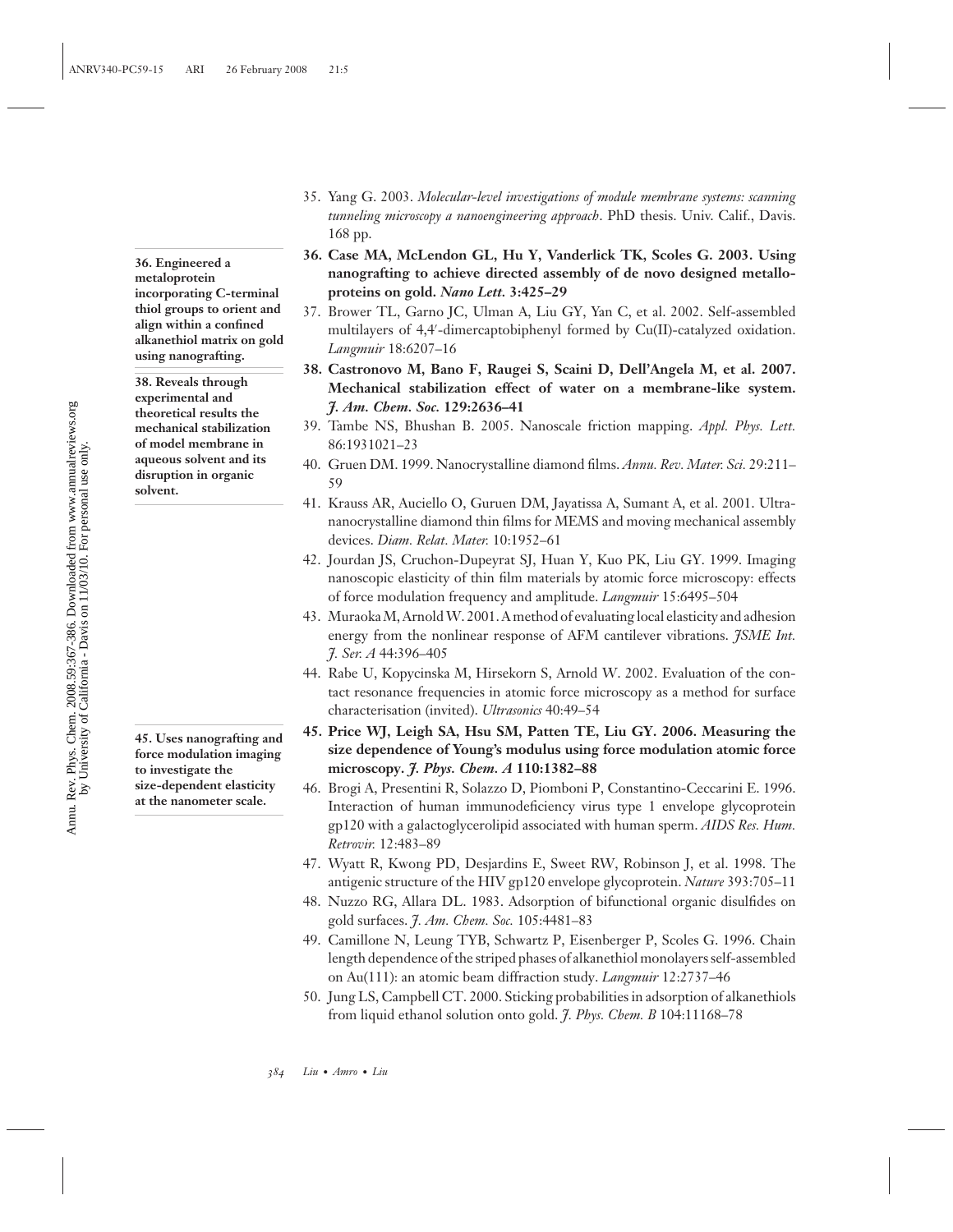**36. Engineered a metaloprotein incorporating C-terminal thiol groups to orient and align within a confined alkanethiol matrix on gold using nanografting.**

**38. Reveals through experimental and theoretical results the mechanical stabilization of model membrane in aqueous solvent and its disruption in organic solvent.**

**45. Uses nanografting and force modulation imaging to investigate the size-dependent elasticity at the nanometer scale.**

- 35. Yang G. 2003. *Molecular-level investigations of module membrane systems: scanning tunneling microscopy a nanoengineering approach*. PhD thesis. Univ. Calif., Davis. 168 pp.
- **36. Case MA, McLendon GL, Hu Y, Vanderlick TK, Scoles G. 2003. Using nanografting to achieve directed assembly of de novo designed metalloproteins on gold.** *Nano Lett.* **3:425–29**
- 37. Brower TL, Garno JC, Ulman A, Liu GY, Yan C, et al. 2002. Self-assembled multilayers of 4,4 -dimercaptobiphenyl formed by Cu(II)-catalyzed oxidation. *Langmuir* 18:6207–16
- **38. Castronovo M, Bano F, Raugei S, Scaini D, Dell'Angela M, et al. 2007. Mechanical stabilization effect of water on a membrane-like system.** *J. Am. Chem. Soc.* **129:2636–41**
- 39. Tambe NS, Bhushan B. 2005. Nanoscale friction mapping. *Appl. Phys. Lett.* 86:1931021–23
- 40. Gruen DM. 1999. Nanocrystalline diamond films. *Annu. Rev. Mater. Sci.* 29:211– 59
- 41. Krauss AR, Auciello O, Guruen DM, Jayatissa A, Sumant A, et al. 2001. Ultrananocrystalline diamond thin films for MEMS and moving mechanical assembly devices. *Diam. Relat. Mater.* 10:1952–61
- 42. Jourdan JS, Cruchon-Dupeyrat SJ, Huan Y, Kuo PK, Liu GY. 1999. Imaging nanoscopic elasticity of thin film materials by atomic force microscopy: effects of force modulation frequency and amplitude. *Langmuir* 15:6495–504
- 43. Muraoka M, Arnold W. 2001. A method of evaluating local elasticity and adhesion energy from the nonlinear response of AFM cantilever vibrations. *JSME Int. J. Ser. A* 44:396–405
- 44. Rabe U, Kopycinska M, Hirsekorn S, Arnold W. 2002. Evaluation of the contact resonance frequencies in atomic force microscopy as a method for surface characterisation (invited). *Ultrasonics* 40:49–54
- **45. Price WJ, Leigh SA, Hsu SM, Patten TE, Liu GY. 2006. Measuring the size dependence of Young's modulus using force modulation atomic force microscopy.** *J. Phys. Chem. A* **110:1382–88**
- 46. Brogi A, Presentini R, Solazzo D, Piomboni P, Constantino-Ceccarini E. 1996. Interaction of human immunodeficiency virus type 1 envelope glycoprotein gp120 with a galactoglycerolipid associated with human sperm. *AIDS Res. Hum. Retrovir.* 12:483–89
- 47. Wyatt R, Kwong PD, Desjardins E, Sweet RW, Robinson J, et al. 1998. The antigenic structure of the HIV gp120 envelope glycoprotein. *Nature* 393:705–11
- 48. Nuzzo RG, Allara DL. 1983. Adsorption of bifunctional organic disulfides on gold surfaces. *J. Am. Chem. Soc.* 105:4481–83
- 49. Camillone N, Leung TYB, Schwartz P, Eisenberger P, Scoles G. 1996. Chain length dependence of the striped phases of alkanethiol monolayers self-assembled on Au(111): an atomic beam diffraction study. *Langmuir* 12:2737–46
- 50. Jung LS, Campbell CT. 2000. Sticking probabilities in adsorption of alkanethiols from liquid ethanol solution onto gold. *J. Phys. Chem. B* 104:11168–78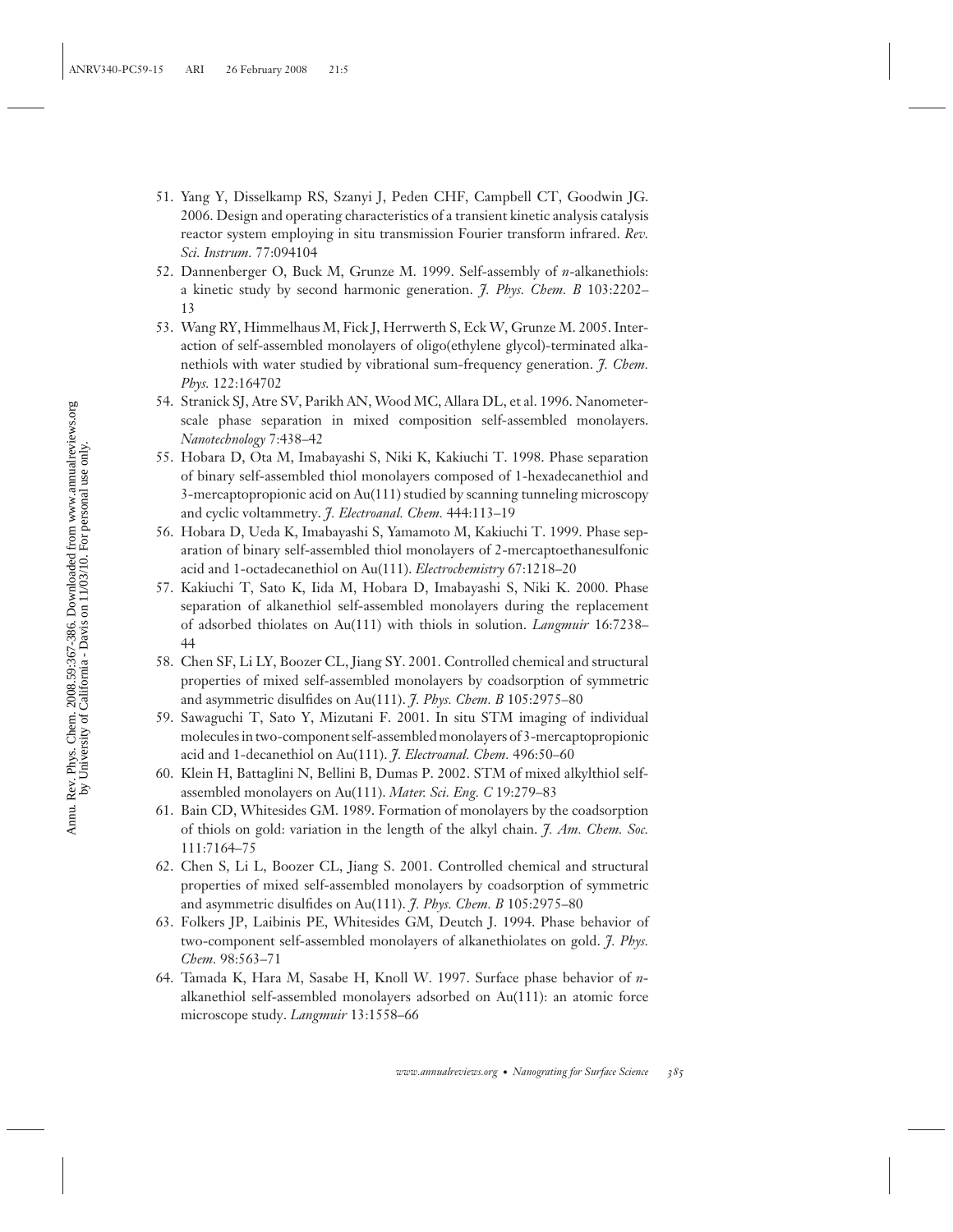- 51. Yang Y, Disselkamp RS, Szanyi J, Peden CHF, Campbell CT, Goodwin JG. 2006. Design and operating characteristics of a transient kinetic analysis catalysis reactor system employing in situ transmission Fourier transform infrared. *Rev. Sci. Instrum.* 77:094104
- 52. Dannenberger O, Buck M, Grunze M. 1999. Self-assembly of *n*-alkanethiols: a kinetic study by second harmonic generation. *J. Phys. Chem. B* 103:2202– 13
- 53. Wang RY, Himmelhaus M, Fick J, Herrwerth S, Eck W, Grunze M. 2005. Interaction of self-assembled monolayers of oligo(ethylene glycol)-terminated alkanethiols with water studied by vibrational sum-frequency generation. *J. Chem. Phys.* 122:164702
- 54. Stranick SJ, Atre SV, Parikh AN, Wood MC, Allara DL, et al. 1996. Nanometerscale phase separation in mixed composition self-assembled monolayers. *Nanotechnology* 7:438–42
- 55. Hobara D, Ota M, Imabayashi S, Niki K, Kakiuchi T. 1998. Phase separation of binary self-assembled thiol monolayers composed of 1-hexadecanethiol and 3-mercaptopropionic acid on Au(111) studied by scanning tunneling microscopy and cyclic voltammetry. *J. Electroanal. Chem.* 444:113–19
- 56. Hobara D, Ueda K, Imabayashi S, Yamamoto M, Kakiuchi T. 1999. Phase separation of binary self-assembled thiol monolayers of 2-mercaptoethanesulfonic acid and 1-octadecanethiol on Au(111). *Electrochemistry* 67:1218–20
- 57. Kakiuchi T, Sato K, Iida M, Hobara D, Imabayashi S, Niki K. 2000. Phase separation of alkanethiol self-assembled monolayers during the replacement of adsorbed thiolates on Au(111) with thiols in solution. *Langmuir* 16:7238– 44
- 58. Chen SF, Li LY, Boozer CL, Jiang SY. 2001. Controlled chemical and structural properties of mixed self-assembled monolayers by coadsorption of symmetric and asymmetric disulfides on Au(111). *J. Phys. Chem. B* 105:2975–80
- 59. Sawaguchi T, Sato Y, Mizutani F. 2001. In situ STM imaging of individual molecules in two-component self-assembled monolayers of 3-mercaptopropionic acid and 1-decanethiol on Au(111). *J. Electroanal. Chem.* 496:50–60
- 60. Klein H, Battaglini N, Bellini B, Dumas P. 2002. STM of mixed alkylthiol selfassembled monolayers on Au(111). *Mater. Sci. Eng. C* 19:279–83
- 61. Bain CD, Whitesides GM. 1989. Formation of monolayers by the coadsorption of thiols on gold: variation in the length of the alkyl chain. *J. Am. Chem. Soc.* 111:7164–75
- 62. Chen S, Li L, Boozer CL, Jiang S. 2001. Controlled chemical and structural properties of mixed self-assembled monolayers by coadsorption of symmetric and asymmetric disulfides on Au(111). *J. Phys. Chem. B* 105:2975–80
- 63. Folkers JP, Laibinis PE, Whitesides GM, Deutch J. 1994. Phase behavior of two-component self-assembled monolayers of alkanethiolates on gold. *J. Phys. Chem.* 98:563–71
- 64. Tamada K, Hara M, Sasabe H, Knoll W. 1997. Surface phase behavior of *n*alkanethiol self-assembled monolayers adsorbed on Au(111): an atomic force microscope study. *Langmuir* 13:1558–66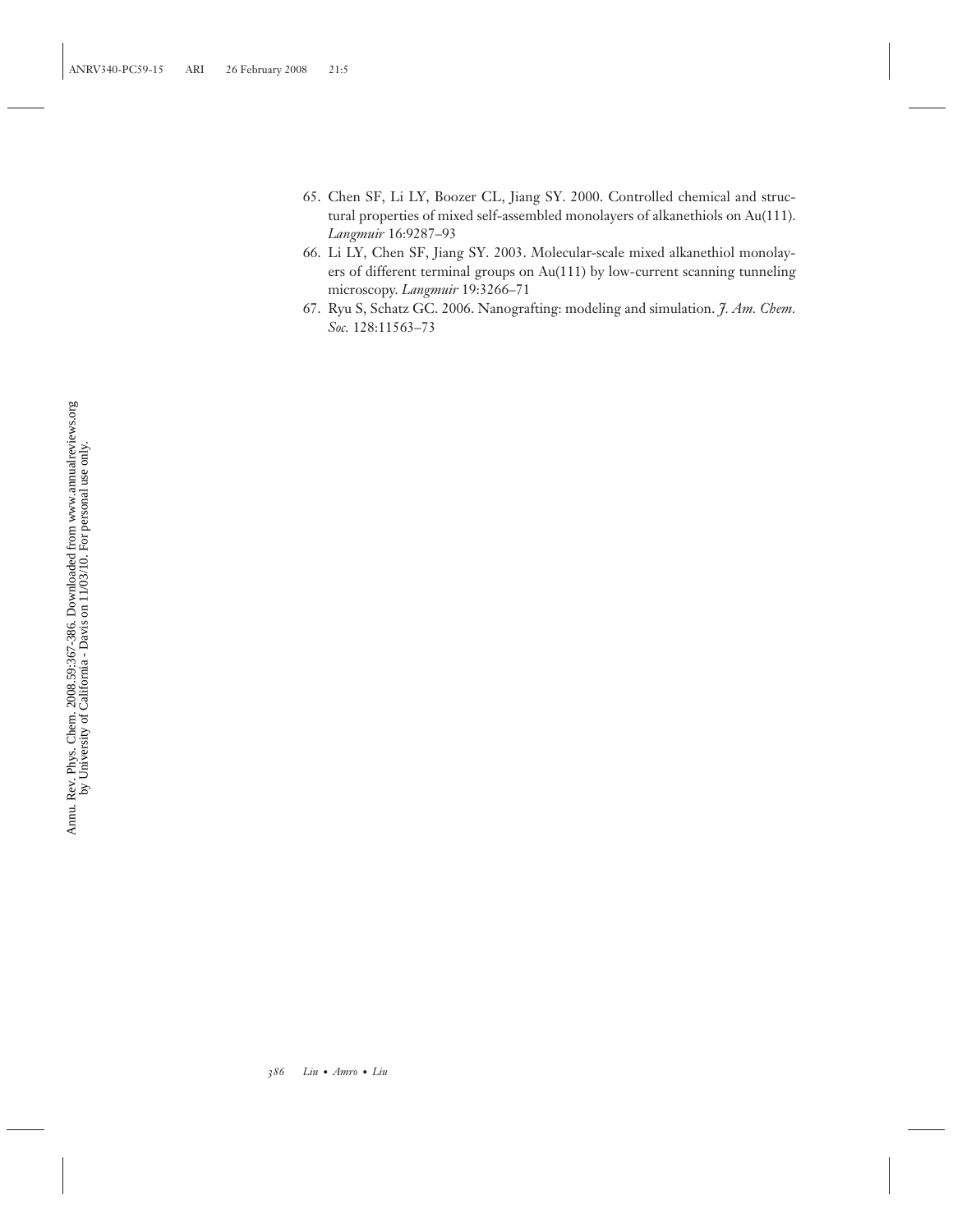- 65. Chen SF, Li LY, Boozer CL, Jiang SY. 2000. Controlled chemical and structural properties of mixed self-assembled monolayers of alkanethiols on Au(111). *Langmuir* 16:9287–93
- 66. Li LY, Chen SF, Jiang SY. 2003. Molecular-scale mixed alkanethiol monolayers of different terminal groups on Au(111) by low-current scanning tunneling microscopy. *Langmuir* 19:3266–71
- 67. Ryu S, Schatz GC. 2006. Nanografting: modeling and simulation. *J. Am. Chem. Soc.* 128:11563–73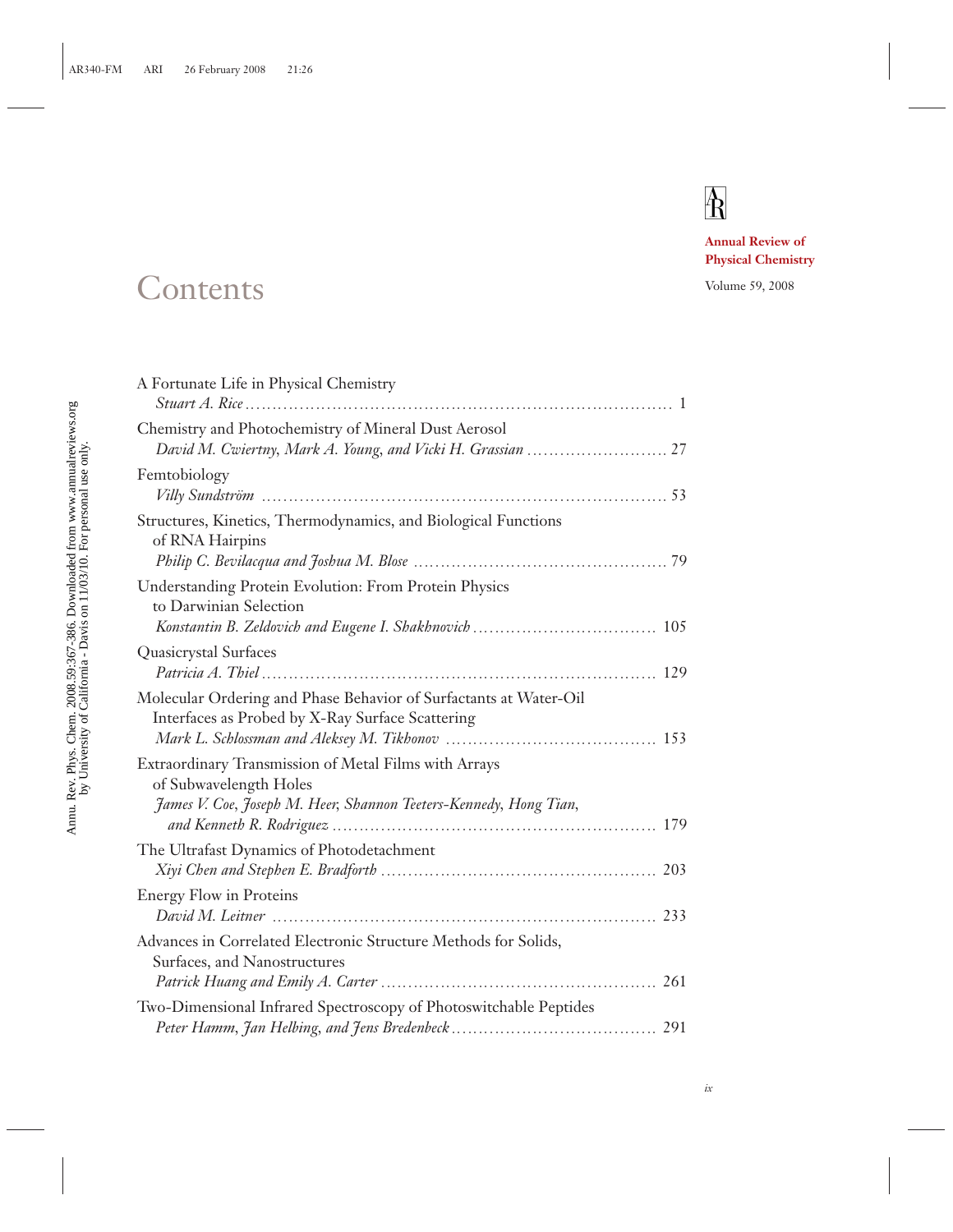# $\mathbf{A}$

**Annual Review of Physical Chemistry**

## Contents Volume 59, 2008

| A Fortunate Life in Physical Chemistry                                                                                                               |
|------------------------------------------------------------------------------------------------------------------------------------------------------|
| Chemistry and Photochemistry of Mineral Dust Aerosol                                                                                                 |
| Femtobiology                                                                                                                                         |
| Structures, Kinetics, Thermodynamics, and Biological Functions<br>of RNA Hairpins                                                                    |
| Understanding Protein Evolution: From Protein Physics<br>to Darwinian Selection                                                                      |
| Quasicrystal Surfaces                                                                                                                                |
| Molecular Ordering and Phase Behavior of Surfactants at Water-Oil<br>Interfaces as Probed by X-Ray Surface Scattering                                |
| Extraordinary Transmission of Metal Films with Arrays<br>of Subwavelength Holes<br>James V. Coe, Joseph M. Heer, Shannon Teeters-Kennedy, Hong Tian, |
| The Ultrafast Dynamics of Photodetachment                                                                                                            |
| <b>Energy Flow in Proteins</b>                                                                                                                       |
| Advances in Correlated Electronic Structure Methods for Solids,<br>Surfaces, and Nanostructures                                                      |
| Two-Dimensional Infrared Spectroscopy of Photoswitchable Peptides                                                                                    |